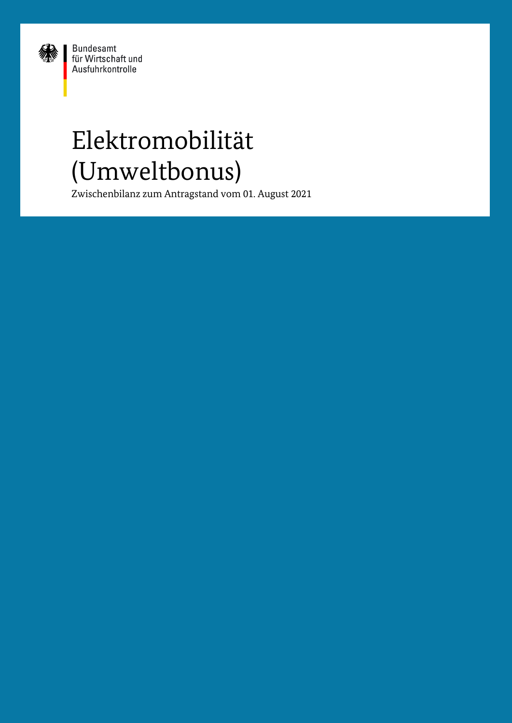

Bundesamt<br>für Wirtschaft und Ausfuhrkontrolle

# Elektromobilität (Umweltbonus)

Zwischenbilanz zum Antragstand vom 01. August 2021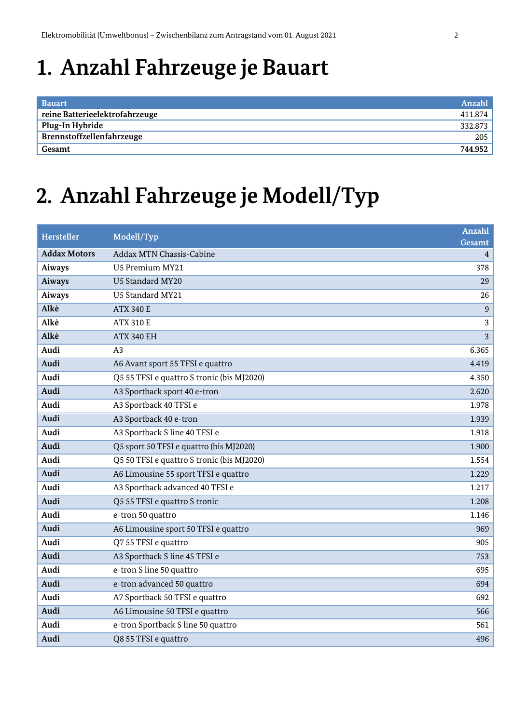#### **1. Anzahl Fahrzeuge je Bauart**

| <b>Bauart</b>                  | Anzahl  |
|--------------------------------|---------|
| reine Batterieelektrofahrzeuge | 411.874 |
| Plug-In Hybride                | 332.873 |
| Brennstoffzellenfahrzeuge      | 205     |
| Gesamt                         | 744.952 |

#### **2. Anzahl Fahrzeuge je Modell/Typ**

| <b>Hersteller</b>   | Modell/Typ                                 | <b>Anzahl</b><br>Gesamt |
|---------------------|--------------------------------------------|-------------------------|
| <b>Addax Motors</b> | Addax MTN Chassis-Cabine                   | 4                       |
| Aiways              | U5 Premium MY21                            | 378                     |
| <b>Aiways</b>       | U5 Standard MY20                           | 29                      |
| Aiways              | U5 Standard MY21                           | 26                      |
| Alkè                | <b>ATX 340 E</b>                           | 9                       |
| Alkè                | <b>ATX 310 E</b>                           | 3                       |
| Alkè                | <b>ATX 340 EH</b>                          | 3                       |
| Audi                | A3                                         | 6.365                   |
| Audi                | A6 Avant sport 55 TFSI e quattro           | 4.419                   |
| Audi                | Q5 55 TFSI e quattro S tronic (bis MJ2020) | 4.350                   |
| Audi                | A3 Sportback sport 40 e-tron               | 2.620                   |
| Audi                | A3 Sportback 40 TFSI e                     | 1.978                   |
| Audi                | A3 Sportback 40 e-tron                     | 1.939                   |
| Audi                | A3 Sportback S line 40 TFSI e              | 1.918                   |
| Audi                | Q5 sport 50 TFSI e quattro (bis MJ2020)    | 1.900                   |
| Audi                | Q5 50 TFSI e quattro S tronic (bis MJ2020) | 1.554                   |
| Audi                | A6 Limousine 55 sport TFSI e quattro       | 1.229                   |
| Audi                | A3 Sportback advanced 40 TFSI e            | 1.217                   |
| Audi                | Q5 55 TFSI e quattro S tronic              | 1.208                   |
| Audi                | e-tron 50 quattro                          | 1.146                   |
| Audi                | A6 Limousine sport 50 TFSI e quattro       | 969                     |
| Audi                | Q7 55 TFSI e quattro                       | 905                     |
| Audi                | A3 Sportback S line 45 TFSI e              | 753                     |
| Audi                | e-tron S line 50 quattro                   | 695                     |
| Audi                | e-tron advanced 50 quattro                 | 694                     |
| Audi                | A7 Sportback 50 TFSI e quattro             | 692                     |
| Audi                | A6 Limousine 50 TFSI e quattro             | 566                     |
| Audi                | e-tron Sportback S line 50 quattro         | 561                     |
| Audi                | Q8 55 TFSI e quattro                       | 496                     |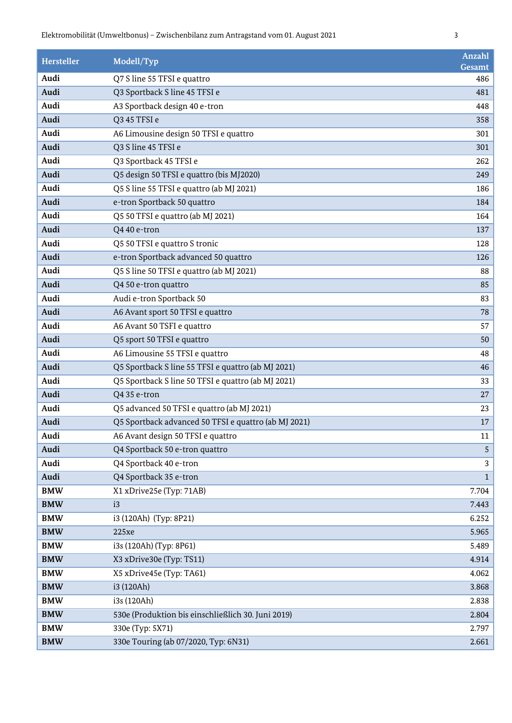| <b>Hersteller</b> | Modell/Typ                                           | Anzahl<br>Gesamt |
|-------------------|------------------------------------------------------|------------------|
| Audi              | Q7 S line 55 TFSI e quattro                          | 486              |
| Audi              | Q3 Sportback S line 45 TFSI e                        | 481              |
| Audi              | A3 Sportback design 40 e-tron                        | 448              |
| Audi              | Q3 45 TFSI e                                         | 358              |
| Audi              | A6 Limousine design 50 TFSI e quattro                | 301              |
| Audi              | Q3 S line 45 TFSI e                                  | 301              |
| Audi              | Q3 Sportback 45 TFSI e                               | 262              |
| Audi              | Q5 design 50 TFSI e quattro (bis MJ2020)             | 249              |
| Audi              | Q5 S line 55 TFSI e quattro (ab MJ 2021)             | 186              |
| Audi              | e-tron Sportback 50 quattro                          | 184              |
| Audi              | Q5 50 TFSI e quattro (ab MJ 2021)                    | 164              |
| Audi              | Q4 40 e-tron                                         | 137              |
| Audi              | Q5 50 TFSI e quattro S tronic                        | 128              |
| Audi              | e-tron Sportback advanced 50 quattro                 | 126              |
| Audi              | Q5 S line 50 TFSI e quattro (ab MJ 2021)             | 88               |
| Audi              | Q4 50 e-tron quattro                                 | 85               |
| Audi              | Audi e-tron Sportback 50                             | 83               |
| Audi              | A6 Avant sport 50 TFSI e quattro                     | 78               |
| Audi              | A6 Avant 50 TSFI e quattro                           | 57               |
| Audi              | Q5 sport 50 TFSI e quattro                           | 50               |
| Audi              | A6 Limousine 55 TFSI e quattro                       | 48               |
| Audi              | Q5 Sportback S line 55 TFSI e quattro (ab MJ 2021)   | 46               |
| Audi              | Q5 Sportback S line 50 TFSI e quattro (ab MJ 2021)   | 33               |
| Audi              | Q4 35 e-tron                                         | 27               |
| Audi              | Q5 advanced 50 TFSI e quattro (ab MJ 2021)           | 23               |
| Audi              | Q5 Sportback advanced 50 TFSI e quattro (ab MJ 2021) | 17               |
| Audi              | A6 Avant design 50 TFSI e quattro                    | $11\,$           |
| Audi              | Q4 Sportback 50 e-tron quattro                       | 5                |
| Audi              | Q4 Sportback 40 e-tron                               | 3                |
| Audi              | Q4 Sportback 35 e-tron                               | $\mathbf{1}$     |
| <b>BMW</b>        | X1 xDrive25e (Typ: 71AB)                             | 7.704            |
| <b>BMW</b>        | i3                                                   | 7.443            |
| <b>BMW</b>        | i3 (120Ah) (Typ: 8P21)                               | 6.252            |
| <b>BMW</b>        | 225xe                                                | 5.965            |
| <b>BMW</b>        | i3s (120Ah) (Typ: 8P61)                              | 5.489            |
| <b>BMW</b>        | X3 xDrive30e (Typ: TS11)                             | 4.914            |
| <b>BMW</b>        | X5 xDrive45e (Typ: TA61)                             | 4.062            |
| <b>BMW</b>        | i3 (120Ah)                                           | 3.868            |
| <b>BMW</b>        | i3s (120Ah)                                          | 2.838            |
| <b>BMW</b>        | 530e (Produktion bis einschließlich 30. Juni 2019)   | 2.804            |
| <b>BMW</b>        | 330e (Typ: 5X71)                                     | 2.797            |
| <b>BMW</b>        | 330e Touring (ab 07/2020, Typ: 6N31)                 | 2.661            |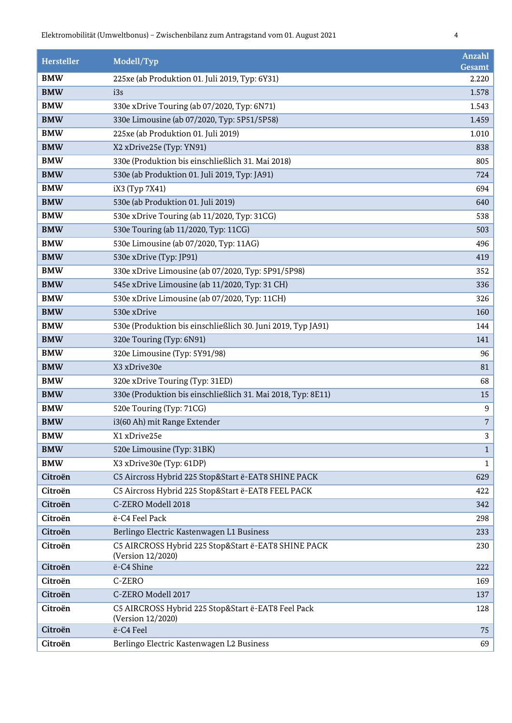| <b>Hersteller</b> | Modell/Typ                                                               | Anzahl<br>Gesamt |
|-------------------|--------------------------------------------------------------------------|------------------|
| <b>BMW</b>        | 225xe (ab Produktion 01. Juli 2019, Typ: 6Y31)                           | 2.220            |
| <b>BMW</b>        | i3s                                                                      | 1.578            |
| <b>BMW</b>        | 330e xDrive Touring (ab 07/2020, Typ: 6N71)                              | 1.543            |
| <b>BMW</b>        | 330e Limousine (ab 07/2020, Typ: 5P51/5P58)                              | 1.459            |
| <b>BMW</b>        | 225xe (ab Produktion 01. Juli 2019)                                      | 1.010            |
| <b>BMW</b>        | X2 xDrive25e (Typ: YN91)                                                 | 838              |
| <b>BMW</b>        | 330e (Produktion bis einschließlich 31. Mai 2018)                        | 805              |
| <b>BMW</b>        | 530e (ab Produktion 01. Juli 2019, Typ: JA91)                            | 724              |
| <b>BMW</b>        | iX3 (Typ 7X41)                                                           | 694              |
| <b>BMW</b>        | 530e (ab Produktion 01. Juli 2019)                                       | 640              |
| <b>BMW</b>        | 530e xDrive Touring (ab 11/2020, Typ: 31CG)                              | 538              |
| <b>BMW</b>        | 530e Touring (ab 11/2020, Typ: 11CG)                                     | 503              |
| <b>BMW</b>        | 530e Limousine (ab 07/2020, Typ: 11AG)                                   | 496              |
| <b>BMW</b>        | 530e xDrive (Typ: JP91)                                                  | 419              |
| <b>BMW</b>        | 330e xDrive Limousine (ab 07/2020, Typ: 5P91/5P98)                       | 352              |
| <b>BMW</b>        | 545e xDrive Limousine (ab 11/2020, Typ: 31 CH)                           | 336              |
| <b>BMW</b>        | 530e xDrive Limousine (ab 07/2020, Typ: 11CH)                            | 326              |
| <b>BMW</b>        | 530e xDrive                                                              | 160              |
| <b>BMW</b>        | 530e (Produktion bis einschließlich 30. Juni 2019, Typ JA91)             | 144              |
| <b>BMW</b>        | 320e Touring (Typ: 6N91)                                                 | 141              |
| <b>BMW</b>        | 320e Limousine (Typ: 5Y91/98)                                            | 96               |
| <b>BMW</b>        | X3 xDrive30e                                                             | 81               |
| <b>BMW</b>        | 320e xDrive Touring (Typ: 31ED)                                          | 68               |
| <b>BMW</b>        | 330e (Produktion bis einschließlich 31. Mai 2018, Typ: 8E11)             | 15               |
| <b>BMW</b>        | 520e Touring (Typ: 71CG)                                                 | $\boldsymbol{9}$ |
| <b>BMW</b>        | i3(60 Ah) mit Range Extender                                             | $\overline{7}$   |
| <b>BMW</b>        | X1 xDrive25e                                                             | 3                |
| <b>BMW</b>        | 520e Limousine (Typ: 31BK)                                               | $\mathbf{1}$     |
| <b>BMW</b>        | X3 xDrive30e (Typ: 61DP)                                                 | $\mathbf{1}$     |
| Citroën           | C5 Aircross Hybrid 225 Stop&Start ë-EAT8 SHINE PACK                      | 629              |
| Citroën           | C5 Aircross Hybrid 225 Stop&Start ë-EAT8 FEEL PACK                       | 422              |
| Citroën           | C-ZERO Modell 2018                                                       | 342              |
| Citroën           | ë-C4 Feel Pack                                                           | 298              |
| Citroën           | Berlingo Electric Kastenwagen L1 Business                                | 233              |
| Citroën           | C5 AIRCROSS Hybrid 225 Stop&Start ë-EAT8 SHINE PACK<br>(Version 12/2020) | 230              |
| Citroën           | ë-C4 Shine                                                               | 222              |
| Citroën           | C-ZERO                                                                   | 169              |
| Citroën           | C-ZERO Modell 2017                                                       | 137              |
| Citroën           | C5 AIRCROSS Hybrid 225 Stop&Start ë-EAT8 Feel Pack<br>(Version 12/2020)  | 128              |
| Citroën           | ë-C4 Feel                                                                | 75               |
| Citroën           | Berlingo Electric Kastenwagen L2 Business                                | 69               |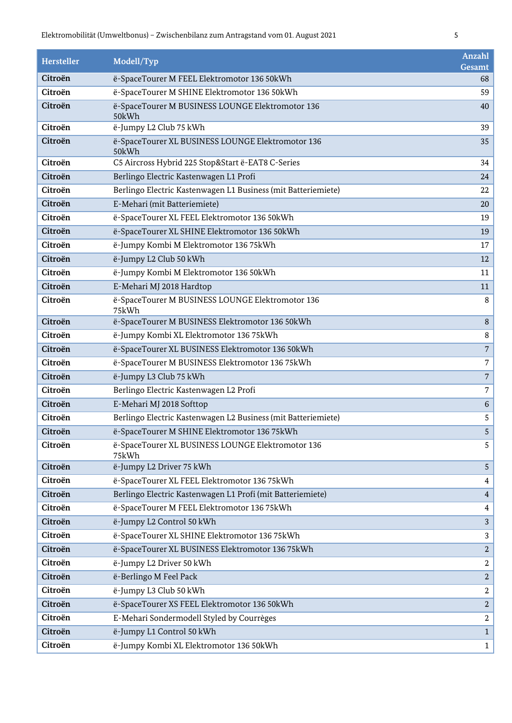| Hersteller | Modell/Typ                                                    | Anzahl<br>Gesamt |
|------------|---------------------------------------------------------------|------------------|
| Citroën    | ë-SpaceTourer M FEEL Elektromotor 136 50kWh                   | 68               |
| Citroën    | ë-SpaceTourer M SHINE Elektromotor 136 50kWh                  | 59               |
| Citroën    | ë-SpaceTourer M BUSINESS LOUNGE Elektromotor 136<br>50kWh     | 40               |
| Citroën    | ë-Jumpy L2 Club 75 kWh                                        | 39               |
| Citroën    | ë-SpaceTourer XL BUSINESS LOUNGE Elektromotor 136<br>50kWh    | 35               |
| Citroën    | C5 Aircross Hybrid 225 Stop&Start ë-EAT8 C-Series             | 34               |
| Citroën    | Berlingo Electric Kastenwagen L1 Profi                        | 24               |
| Citroën    | Berlingo Electric Kastenwagen L1 Business (mit Batteriemiete) | 22               |
| Citroën    | E-Mehari (mit Batteriemiete)                                  | 20               |
| Citroën    | ë-SpaceTourer XL FEEL Elektromotor 136 50kWh                  | 19               |
| Citroën    | ë-SpaceTourer XL SHINE Elektromotor 136 50kWh                 | 19               |
| Citroën    | ë-Jumpy Kombi M Elektromotor 136 75kWh                        | 17               |
| Citroën    | ë-Jumpy L2 Club 50 kWh                                        | 12               |
| Citroën    | ë-Jumpy Kombi M Elektromotor 136 50kWh                        | 11               |
| Citroën    | E-Mehari MJ 2018 Hardtop                                      | 11               |
| Citroën    | ë-SpaceTourer M BUSINESS LOUNGE Elektromotor 136<br>75kWh     | 8                |
| Citroën    | ë-SpaceTourer M BUSINESS Elektromotor 136 50kWh               | 8                |
| Citroën    | ë-Jumpy Kombi XL Elektromotor 136 75kWh                       | 8                |
| Citroën    | ë-SpaceTourer XL BUSINESS Elektromotor 136 50kWh              | $\overline{7}$   |
| Citroën    | ë-SpaceTourer M BUSINESS Elektromotor 13675kWh                | 7                |
| Citroën    | ë-Jumpy L3 Club 75 kWh                                        | $\overline{7}$   |
| Citroën    | Berlingo Electric Kastenwagen L2 Profi                        | 7                |
| Citroën    | E-Mehari MJ 2018 Softtop                                      | 6                |
| Citroën    | Berlingo Electric Kastenwagen L2 Business (mit Batteriemiete) | 5                |
| Citroën    | ë-SpaceTourer M SHINE Elektromotor 136 75kWh                  | 5                |
| Citroën    | ë-SpaceTourer XL BUSINESS LOUNGE Elektromotor 136<br>75kWh    | 5                |
| Citroën    | ë-Jumpy L2 Driver 75 kWh                                      | 5                |
| Citroën    | ë-SpaceTourer XL FEEL Elektromotor 136 75kWh                  | 4                |
| Citroën    | Berlingo Electric Kastenwagen L1 Profi (mit Batteriemiete)    | 4                |
| Citroën    | ë-SpaceTourer M FEEL Elektromotor 13675kWh                    | 4                |
| Citroën    | ë-Jumpy L2 Control 50 kWh                                     | 3                |
| Citroën    | ë-SpaceTourer XL SHINE Elektromotor 136 75kWh                 | 3                |
| Citroën    | ë-SpaceTourer XL BUSINESS Elektromotor 136 75kWh              | $\overline{2}$   |
| Citroën    | ë-Jumpy L2 Driver 50 kWh                                      | $\boldsymbol{2}$ |
| Citroën    | ë-Berlingo M Feel Pack                                        | $\overline{2}$   |
| Citroën    | ë-Jumpy L3 Club 50 kWh                                        | $\boldsymbol{2}$ |
| Citroën    | ë-SpaceTourer XS FEEL Elektromotor 136 50kWh                  | $\overline{2}$   |
| Citroën    | E-Mehari Sondermodell Styled by Courrèges                     | $\overline{a}$   |
| Citroën    | ë-Jumpy L1 Control 50 kWh                                     | $\mathbf{1}$     |
| Citroën    | ë-Jumpy Kombi XL Elektromotor 136 50kWh                       | $\mathbf{1}$     |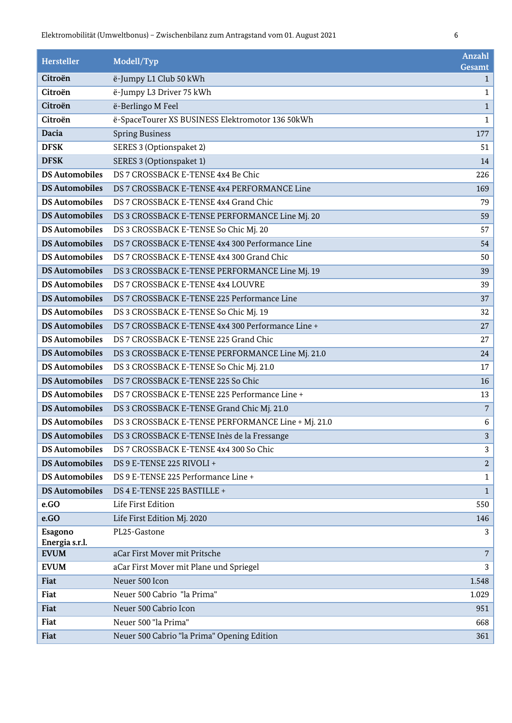| Hersteller                | Modell/Typ                                         | Anzahl                 |
|---------------------------|----------------------------------------------------|------------------------|
| Citroën                   | ë-Jumpy L1 Club 50 kWh                             | Gesamt<br>$\mathbf{1}$ |
| Citroën                   | ë-Jumpy L3 Driver 75 kWh                           | $\mathbf{1}$           |
| Citroën                   | ë-Berlingo M Feel                                  | $\mathbf{1}$           |
| Citroën                   | ë-SpaceTourer XS BUSINESS Elektromotor 136 50kWh   | $\mathbf{1}$           |
| Dacia                     | <b>Spring Business</b>                             | 177                    |
| <b>DFSK</b>               | SERES 3 (Optionspaket 2)                           | 51                     |
| <b>DFSK</b>               | SERES 3 (Optionspaket 1)                           | 14                     |
| <b>DS Automobiles</b>     | DS 7 CROSSBACK E-TENSE 4x4 Be Chic                 | 226                    |
| <b>DS Automobiles</b>     | DS 7 CROSSBACK E-TENSE 4x4 PERFORMANCE Line        | 169                    |
| <b>DS Automobiles</b>     | DS 7 CROSSBACK E-TENSE 4x4 Grand Chic              | 79                     |
| <b>DS Automobiles</b>     | DS 3 CROSSBACK E-TENSE PERFORMANCE Line Mj. 20     | 59                     |
| <b>DS Automobiles</b>     | DS 3 CROSSBACK E-TENSE So Chic Mj. 20              | 57                     |
| <b>DS Automobiles</b>     | DS 7 CROSSBACK E-TENSE 4x4 300 Performance Line    | 54                     |
| <b>DS Automobiles</b>     | DS 7 CROSSBACK E-TENSE 4x4 300 Grand Chic          | 50                     |
| <b>DS Automobiles</b>     | DS 3 CROSSBACK E-TENSE PERFORMANCE Line Mj. 19     | 39                     |
| <b>DS Automobiles</b>     | DS 7 CROSSBACK E-TENSE 4x4 LOUVRE                  | 39                     |
| <b>DS Automobiles</b>     | DS 7 CROSSBACK E-TENSE 225 Performance Line        | 37                     |
| <b>DS Automobiles</b>     | DS 3 CROSSBACK E-TENSE So Chic Mj. 19              | 32                     |
| <b>DS Automobiles</b>     | DS 7 CROSSBACK E-TENSE 4x4 300 Performance Line +  | $27\,$                 |
| <b>DS Automobiles</b>     | DS 7 CROSSBACK E-TENSE 225 Grand Chic              | 27                     |
| <b>DS Automobiles</b>     | DS 3 CROSSBACK E-TENSE PERFORMANCE Line Mj. 21.0   | 24                     |
| <b>DS Automobiles</b>     | DS 3 CROSSBACK E-TENSE So Chic Mj. 21.0            | $17\,$                 |
| <b>DS Automobiles</b>     | DS 7 CROSSBACK E-TENSE 225 So Chic                 | 16                     |
| <b>DS Automobiles</b>     | DS 7 CROSSBACK E-TENSE 225 Performance Line +      | 13                     |
| <b>DS Automobiles</b>     | DS 3 CROSSBACK E-TENSE Grand Chic Mj. 21.0         | $\sqrt{7}$             |
| <b>DS Automobiles</b>     | DS 3 CROSSBACK E-TENSE PERFORMANCE Line + Mj. 21.0 | 6                      |
| <b>DS Automobiles</b>     | DS 3 CROSSBACK E-TENSE Inès de la Fressange        | 3                      |
| <b>DS Automobiles</b>     | DS 7 CROSSBACK E-TENSE 4x4 300 So Chic             | 3                      |
| <b>DS Automobiles</b>     | DS 9 E-TENSE 225 RIVOLI +                          | $\sqrt{2}$             |
| <b>DS Automobiles</b>     | DS 9 E-TENSE 225 Performance Line +                | 1                      |
| <b>DS Automobiles</b>     | DS 4 E-TENSE 225 BASTILLE +                        | $\mathbf{1}$           |
| e.GO                      | Life First Edition                                 | 550                    |
| e.GO                      | Life First Edition Mj. 2020                        | 146                    |
| Esagono<br>Energia s.r.l. | PL25-Gastone                                       | 3                      |
| <b>EVUM</b>               | aCar First Mover mit Pritsche                      | 7                      |
| <b>EVUM</b>               | aCar First Mover mit Plane und Spriegel            | 3                      |
| Fiat                      | Neuer 500 Icon                                     | 1.548                  |
| Fiat                      | Neuer 500 Cabrio "la Prima"                        | 1.029                  |
| Fiat                      | Neuer 500 Cabrio Icon                              | 951                    |
| Fiat                      | Neuer 500 "la Prima"                               | 668                    |
| Fiat                      | Neuer 500 Cabrio "la Prima" Opening Edition        | 361                    |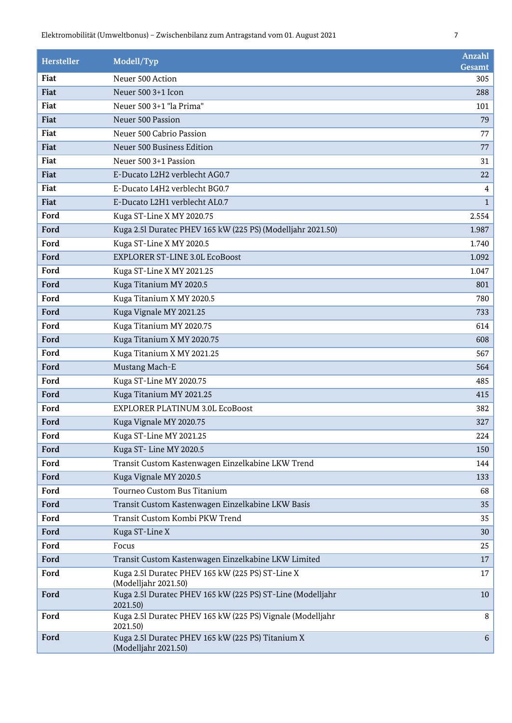| <b>Hersteller</b> | Modell/Typ                                                                | <b>Anzahl</b><br>Gesamt |
|-------------------|---------------------------------------------------------------------------|-------------------------|
| Fiat              | Neuer 500 Action                                                          | 305                     |
| Fiat              | Neuer 500 3+1 Icon                                                        | 288                     |
| Fiat              | Neuer 500 3+1 "la Prima"                                                  | 101                     |
| Fiat              | Neuer 500 Passion                                                         | 79                      |
| Fiat              | Neuer 500 Cabrio Passion                                                  | 77                      |
| Fiat              | Neuer 500 Business Edition                                                | 77                      |
| Fiat              | Neuer 500 3+1 Passion                                                     | 31                      |
| Fiat              | E-Ducato L2H2 verblecht AG0.7                                             | 22                      |
| Fiat              | E-Ducato L4H2 verblecht BG0.7                                             | $\overline{4}$          |
| Fiat              | E-Ducato L2H1 verblecht AL0.7                                             | $\mathbf{1}$            |
| Ford              | Kuga ST-Line X MY 2020.75                                                 | 2.554                   |
| Ford              | Kuga 2.5l Duratec PHEV 165 kW (225 PS) (Modelljahr 2021.50)               | 1.987                   |
| Ford              | Kuga ST-Line X MY 2020.5                                                  | 1.740                   |
| Ford              | <b>EXPLORER ST-LINE 3.0L EcoBoost</b>                                     | 1.092                   |
| Ford              | Kuga ST-Line X MY 2021.25                                                 | 1.047                   |
| Ford              | Kuga Titanium MY 2020.5                                                   | 801                     |
| Ford              | Kuga Titanium X MY 2020.5                                                 | 780                     |
| Ford              | Kuga Vignale MY 2021.25                                                   | 733                     |
| Ford              | Kuga Titanium MY 2020.75                                                  | 614                     |
| Ford              | Kuga Titanium X MY 2020.75                                                | 608                     |
| Ford              | Kuga Titanium X MY 2021.25                                                | 567                     |
| Ford              | Mustang Mach-E                                                            | 564                     |
| Ford              | Kuga ST-Line MY 2020.75                                                   | 485                     |
| Ford              | Kuga Titanium MY 2021.25                                                  | 415                     |
| Ford              | <b>EXPLORER PLATINUM 3.0L EcoBoost</b>                                    | 382                     |
| Ford              | Kuga Vignale MY 2020.75                                                   | 327                     |
| Ford              | Kuga ST-Line MY 2021.25                                                   | 224                     |
| Ford              | Kuga ST-Line MY 2020.5                                                    | 150                     |
| Ford              | Transit Custom Kastenwagen Einzelkabine LKW Trend                         | 144                     |
| Ford              | Kuga Vignale MY 2020.5                                                    | 133                     |
| Ford              | Tourneo Custom Bus Titanium                                               | 68                      |
| Ford              | Transit Custom Kastenwagen Einzelkabine LKW Basis                         | 35                      |
| Ford              | Transit Custom Kombi PKW Trend                                            | 35                      |
| Ford              | Kuga ST-Line X                                                            | 30                      |
| Ford              | Focus                                                                     | 25                      |
| Ford              | Transit Custom Kastenwagen Einzelkabine LKW Limited                       | 17                      |
| Ford              | Kuga 2.5l Duratec PHEV 165 kW (225 PS) ST-Line X<br>(Modelljahr 2021.50)  | 17                      |
| Ford              | Kuga 2.5l Duratec PHEV 165 kW (225 PS) ST-Line (Modelljahr<br>2021.50)    | 10                      |
| Ford              | Kuga 2.5l Duratec PHEV 165 kW (225 PS) Vignale (Modelljahr<br>2021.50)    | 8                       |
| Ford              | Kuga 2.51 Duratec PHEV 165 kW (225 PS) Titanium X<br>(Modelljahr 2021.50) | $6\,$                   |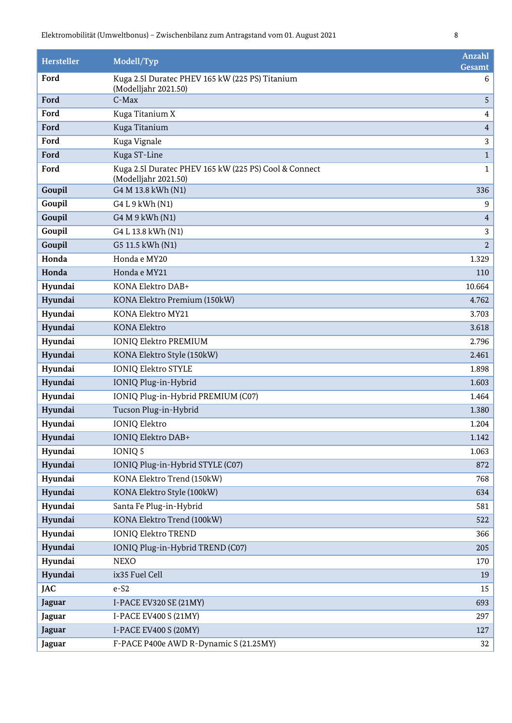| <b>Hersteller</b> | Modell/Typ                                                                    | <b>Anzahl</b><br>Gesamt |
|-------------------|-------------------------------------------------------------------------------|-------------------------|
| Ford              | Kuga 2.5l Duratec PHEV 165 kW (225 PS) Titanium                               | 6                       |
|                   | (Modelljahr 2021.50)                                                          |                         |
| Ford              | C-Max                                                                         | 5                       |
| Ford              | Kuga Titanium X                                                               | $\overline{4}$          |
| Ford              | Kuga Titanium                                                                 | $\overline{4}$          |
| Ford              | Kuga Vignale                                                                  | 3                       |
| Ford              | Kuga ST-Line                                                                  | $\mathbf 1$             |
| Ford              | Kuga 2.5l Duratec PHEV 165 kW (225 PS) Cool & Connect<br>(Modelljahr 2021.50) | $\mathbf{1}$            |
| Goupil            | G4 M 13.8 kWh (N1)                                                            | 336                     |
| Goupil            | G4 L 9 kWh (N1)                                                               | 9                       |
| Goupil            | G4 M 9 kWh (N1)                                                               | $\overline{4}$          |
| Goupil            | G4 L 13.8 kWh (N1)                                                            | 3                       |
| Goupil            | G5 11.5 kWh (N1)                                                              | $\overline{2}$          |
| Honda             | Honda e MY20                                                                  | 1.329                   |
| Honda             | Honda e MY21                                                                  | 110                     |
| Hyundai           | KONA Elektro DAB+                                                             | 10.664                  |
| Hyundai           | KONA Elektro Premium (150kW)                                                  | 4.762                   |
| Hyundai           | <b>KONA Elektro MY21</b>                                                      | 3.703                   |
| Hyundai           | <b>KONA Elektro</b>                                                           | 3.618                   |
| Hyundai           | <b>IONIQ Elektro PREMIUM</b>                                                  | 2.796                   |
| Hyundai           | KONA Elektro Style (150kW)                                                    | 2.461                   |
| Hyundai           | <b>IONIQ Elektro STYLE</b>                                                    | 1.898                   |
| Hyundai           | IONIQ Plug-in-Hybrid                                                          | 1.603                   |
| Hyundai           | IONIQ Plug-in-Hybrid PREMIUM (C07)                                            | 1.464                   |
| Hyundai           | Tucson Plug-in-Hybrid                                                         | 1.380                   |
| Hyundai           | <b>IONIQ Elektro</b>                                                          | 1.204                   |
| Hyundai           | IONIQ Elektro DAB+                                                            | 1.142                   |
| Hyundai           | IONIQ 5                                                                       | 1.063                   |
| Hyundai           | IONIQ Plug-in-Hybrid STYLE (C07)                                              | 872                     |
| Hyundai           | KONA Elektro Trend (150kW)                                                    | 768                     |
| Hyundai           | KONA Elektro Style (100kW)                                                    | 634                     |
| Hyundai           | Santa Fe Plug-in-Hybrid                                                       | 581                     |
| Hyundai           | KONA Elektro Trend (100kW)                                                    | 522                     |
| Hyundai           | <b>IONIQ Elektro TREND</b>                                                    | 366                     |
| Hyundai           | IONIQ Plug-in-Hybrid TREND (C07)                                              | 205                     |
| Hyundai           | <b>NEXO</b>                                                                   | 170                     |
| Hyundai           | ix35 Fuel Cell                                                                | 19                      |
| <b>JAC</b>        | $e-S2$                                                                        | 15                      |
| <b>Jaguar</b>     | I-PACE EV320 SE (21MY)                                                        | 693                     |
| <b>Jaguar</b>     | I-PACE EV400 S (21MY)                                                         | 297                     |
| <b>Jaguar</b>     | I-PACE EV400 S (20MY)                                                         | 127                     |
| <b>Jaguar</b>     | F-PACE P400e AWD R-Dynamic S (21.25MY)                                        | 32                      |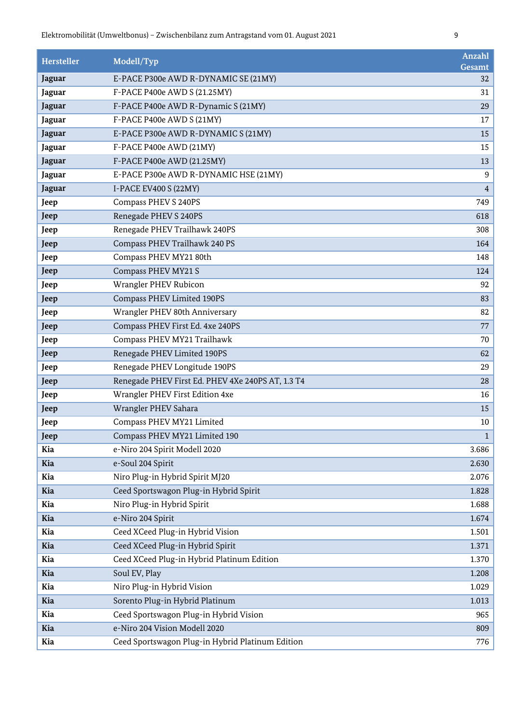| Hersteller    | Modell/Typ                                        | Anzahl<br>Gesamt |
|---------------|---------------------------------------------------|------------------|
| Jaguar        | E-PACE P300e AWD R-DYNAMIC SE (21MY)              | 32               |
| Jaguar        | F-PACE P400e AWD S (21.25MY)                      | 31               |
| Jaguar        | F-PACE P400e AWD R-Dynamic S (21MY)               | 29               |
| Jaguar        | F-PACE P400e AWD S (21MY)                         | 17               |
| Jaguar        | E-PACE P300e AWD R-DYNAMIC S (21MY)               | 15               |
| Jaguar        | F-PACE P400e AWD (21MY)                           | 15               |
| Jaguar        | F-PACE P400e AWD (21.25MY)                        | 13               |
| Jaguar        | E-PACE P300e AWD R-DYNAMIC HSE (21MY)             | 9                |
| <b>Jaguar</b> | I-PACE EV400 S (22MY)                             | $\overline{4}$   |
| Jeep          | Compass PHEV S 240PS                              | 749              |
| Jeep          | Renegade PHEV S 240PS                             | 618              |
| Jeep          | Renegade PHEV Trailhawk 240PS                     | 308              |
| Jeep          | Compass PHEV Trailhawk 240 PS                     | 164              |
| Jeep          | Compass PHEV MY21 80th                            | 148              |
| Jeep          | Compass PHEV MY21 S                               | 124              |
| Jeep          | Wrangler PHEV Rubicon                             | 92               |
| Jeep          | Compass PHEV Limited 190PS                        | 83               |
| Jeep          | Wrangler PHEV 80th Anniversary                    | 82               |
| Jeep          | Compass PHEV First Ed. 4xe 240PS                  | 77               |
| Jeep          | Compass PHEV MY21 Trailhawk                       | 70               |
| Jeep          | Renegade PHEV Limited 190PS                       | 62               |
| Jeep          | Renegade PHEV Longitude 190PS                     | 29               |
| Jeep          | Renegade PHEV First Ed. PHEV 4Xe 240PS AT, 1.3 T4 | 28               |
| Jeep          | Wrangler PHEV First Edition 4xe                   | 16               |
| Jeep          | Wrangler PHEV Sahara                              | 15               |
| Jeep          | Compass PHEV MY21 Limited                         | 10               |
| Jeep          | Compass PHEV MY21 Limited 190                     | $\mathbf{1}$     |
| Kia           | e-Niro 204 Spirit Modell 2020                     | 3.686            |
| Kia           | e-Soul 204 Spirit                                 | 2.630            |
| Kia           | Niro Plug-in Hybrid Spirit MJ20                   | 2.076            |
| Kia           | Ceed Sportswagon Plug-in Hybrid Spirit            | 1.828            |
| Kia           | Niro Plug-in Hybrid Spirit                        | 1.688            |
| Kia           | e-Niro 204 Spirit                                 | 1.674            |
| Kia           | Ceed XCeed Plug-in Hybrid Vision                  | 1.501            |
| Kia           | Ceed XCeed Plug-in Hybrid Spirit                  | 1.371            |
| Kia           | Ceed XCeed Plug-in Hybrid Platinum Edition        | 1.370            |
| Kia           | Soul EV, Play                                     | 1.208            |
| Kia           | Niro Plug-in Hybrid Vision                        | 1.029            |
| Kia           | Sorento Plug-in Hybrid Platinum                   | 1.013            |
| Kia           | Ceed Sportswagon Plug-in Hybrid Vision            | 965              |
| Kia           | e-Niro 204 Vision Modell 2020                     | 809              |
| Kia           | Ceed Sportswagon Plug-in Hybrid Platinum Edition  | 776              |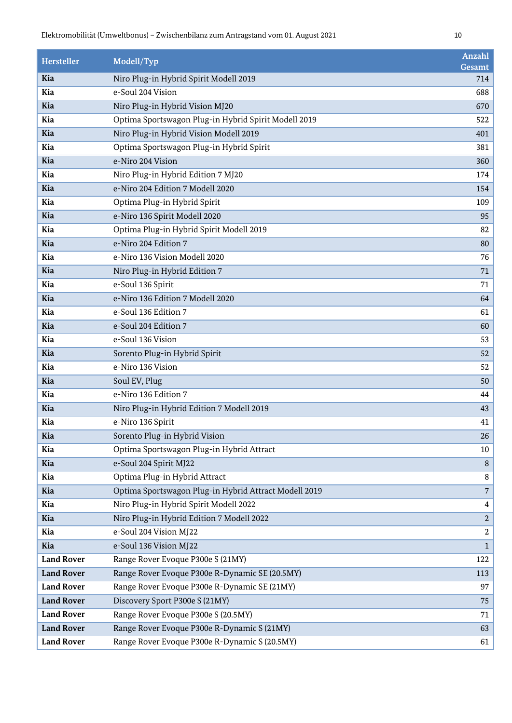| <b>Hersteller</b> | Modell/Typ                                            | Anzahl<br>Gesamt        |
|-------------------|-------------------------------------------------------|-------------------------|
| Kia               | Niro Plug-in Hybrid Spirit Modell 2019                | 714                     |
| Kia               | e-Soul 204 Vision                                     | 688                     |
| Kia               | Niro Plug-in Hybrid Vision MJ20                       | 670                     |
| Kia               | Optima Sportswagon Plug-in Hybrid Spirit Modell 2019  | 522                     |
| <b>Kia</b>        | Niro Plug-in Hybrid Vision Modell 2019                | 401                     |
| Kia               | Optima Sportswagon Plug-in Hybrid Spirit              | 381                     |
| Kia               | e-Niro 204 Vision                                     | 360                     |
| Kia               | Niro Plug-in Hybrid Edition 7 MJ20                    | 174                     |
| Kia               | e-Niro 204 Edition 7 Modell 2020                      | 154                     |
| Kia               | Optima Plug-in Hybrid Spirit                          | 109                     |
| <b>Kia</b>        | e-Niro 136 Spirit Modell 2020                         | 95                      |
| Kia               | Optima Plug-in Hybrid Spirit Modell 2019              | 82                      |
| Kia               | e-Niro 204 Edition 7                                  | 80                      |
| Kia               | e-Niro 136 Vision Modell 2020                         | 76                      |
| Kia               | Niro Plug-in Hybrid Edition 7                         | 71                      |
| Kia               | e-Soul 136 Spirit                                     | 71                      |
| <b>Kia</b>        | e-Niro 136 Edition 7 Modell 2020                      | 64                      |
| Kia               | e-Soul 136 Edition 7                                  | 61                      |
| Kia               | e-Soul 204 Edition 7                                  | 60                      |
| Kia               | e-Soul 136 Vision                                     | 53                      |
| Kia               | Sorento Plug-in Hybrid Spirit                         | 52                      |
| Kia               | e-Niro 136 Vision                                     | 52                      |
| <b>Kia</b>        | Soul EV, Plug                                         | 50                      |
| Kia               | e-Niro 136 Edition 7                                  | 44                      |
| Kia               | Niro Plug-in Hybrid Edition 7 Modell 2019             | 43                      |
| Kia               | e-Niro 136 Spirit                                     | 41                      |
| Kia               | Sorento Plug-in Hybrid Vision                         | 26                      |
| Kia               | Optima Sportswagon Plug-in Hybrid Attract             | 10                      |
| <b>Kia</b>        | e-Soul 204 Spirit MJ22                                | 8                       |
| Kia               | Optima Plug-in Hybrid Attract                         | 8                       |
| Kia               | Optima Sportswagon Plug-in Hybrid Attract Modell 2019 | $\overline{7}$          |
| Kia               | Niro Plug-in Hybrid Spirit Modell 2022                | 4                       |
| Kia               | Niro Plug-in Hybrid Edition 7 Modell 2022             | $\overline{a}$          |
| Kia               | e-Soul 204 Vision MJ22                                | $\overline{\mathbf{2}}$ |
| Kia               | e-Soul 136 Vision MJ22                                | $\mathbf{1}$            |
| <b>Land Rover</b> | Range Rover Evoque P300e S (21MY)                     | 122                     |
| <b>Land Rover</b> | Range Rover Evoque P300e R-Dynamic SE (20.5MY)        | 113                     |
| <b>Land Rover</b> | Range Rover Evoque P300e R-Dynamic SE (21MY)          | 97                      |
| <b>Land Rover</b> | Discovery Sport P300e S (21MY)                        | 75                      |
| <b>Land Rover</b> | Range Rover Evoque P300e S (20.5MY)                   | 71                      |
| <b>Land Rover</b> | Range Rover Evoque P300e R-Dynamic S (21MY)           | 63                      |
| <b>Land Rover</b> | Range Rover Evoque P300e R-Dynamic S (20.5MY)         | 61                      |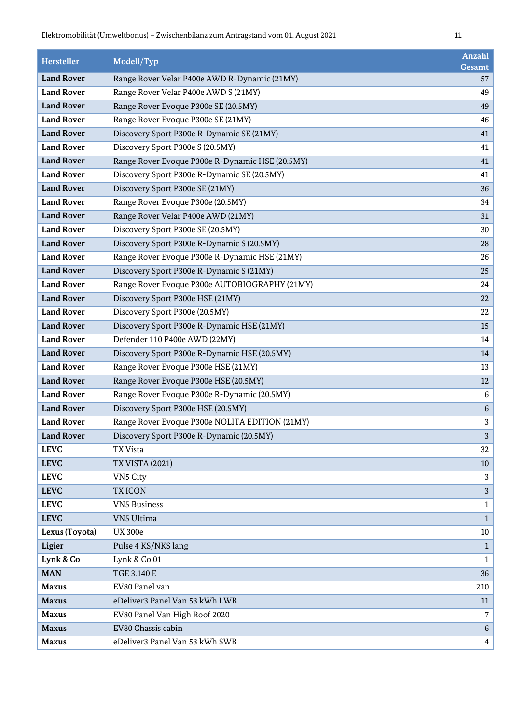| <b>Hersteller</b> | Modell/Typ                                      | <b>Anzahl</b><br><b>Gesamt</b> |
|-------------------|-------------------------------------------------|--------------------------------|
| <b>Land Rover</b> | Range Rover Velar P400e AWD R-Dynamic (21MY)    | 57                             |
| <b>Land Rover</b> | Range Rover Velar P400e AWD S (21MY)            | 49                             |
| <b>Land Rover</b> | Range Rover Evoque P300e SE (20.5MY)            | 49                             |
| <b>Land Rover</b> | Range Rover Evoque P300e SE (21MY)              | 46                             |
| <b>Land Rover</b> | Discovery Sport P300e R-Dynamic SE (21MY)       | 41                             |
| <b>Land Rover</b> | Discovery Sport P300e S (20.5MY)                | 41                             |
| <b>Land Rover</b> | Range Rover Evoque P300e R-Dynamic HSE (20.5MY) | 41                             |
| <b>Land Rover</b> | Discovery Sport P300e R-Dynamic SE (20.5MY)     | 41                             |
| <b>Land Rover</b> | Discovery Sport P300e SE (21MY)                 | 36                             |
| <b>Land Rover</b> | Range Rover Evoque P300e (20.5MY)               | 34                             |
| <b>Land Rover</b> | Range Rover Velar P400e AWD (21MY)              | 31                             |
| <b>Land Rover</b> | Discovery Sport P300e SE (20.5MY)               | 30                             |
| <b>Land Rover</b> | Discovery Sport P300e R-Dynamic S (20.5MY)      | 28                             |
| <b>Land Rover</b> | Range Rover Evoque P300e R-Dynamic HSE (21MY)   | 26                             |
| <b>Land Rover</b> | Discovery Sport P300e R-Dynamic S (21MY)        | 25                             |
| <b>Land Rover</b> | Range Rover Evoque P300e AUTOBIOGRAPHY (21MY)   | 24                             |
| <b>Land Rover</b> | Discovery Sport P300e HSE (21MY)                | 22                             |
| <b>Land Rover</b> | Discovery Sport P300e (20.5MY)                  | 22                             |
| <b>Land Rover</b> | Discovery Sport P300e R-Dynamic HSE (21MY)      | 15                             |
| <b>Land Rover</b> | Defender 110 P400e AWD (22MY)                   | 14                             |
| <b>Land Rover</b> | Discovery Sport P300e R-Dynamic HSE (20.5MY)    | 14                             |
| <b>Land Rover</b> | Range Rover Evoque P300e HSE (21MY)             | 13                             |
| <b>Land Rover</b> | Range Rover Evoque P300e HSE (20.5MY)           | 12                             |
| <b>Land Rover</b> | Range Rover Evoque P300e R-Dynamic (20.5MY)     | 6                              |
| <b>Land Rover</b> | Discovery Sport P300e HSE (20.5MY)              | $\,6\,$                        |
| <b>Land Rover</b> | Range Rover Evoque P300e NOLITA EDITION (21MY)  | 3                              |
| <b>Land Rover</b> | Discovery Sport P300e R-Dynamic (20.5MY)        | 3                              |
| <b>LEVC</b>       | TX Vista                                        | 32                             |
| <b>LEVC</b>       | <b>TX VISTA (2021)</b>                          | 10                             |
| <b>LEVC</b>       | VN5 City                                        | 3                              |
| <b>LEVC</b>       | <b>TXICON</b>                                   | 3                              |
| <b>LEVC</b>       | <b>VN5 Business</b>                             | $\mathbf{1}$                   |
| <b>LEVC</b>       | VN5 Ultima                                      | $\mathbf{1}$                   |
| Lexus (Toyota)    | <b>UX 300e</b>                                  | 10                             |
| Ligier            | Pulse 4 KS/NKS lang                             | $\mathbf{1}$                   |
| Lynk & Co         | Lynk & Co 01                                    | $\mathbf{1}$                   |
| <b>MAN</b>        | TGE 3.140 E                                     | 36                             |
| <b>Maxus</b>      | EV80 Panel van                                  | 210                            |
| <b>Maxus</b>      | eDeliver3 Panel Van 53 kWh LWB                  | 11                             |
| <b>Maxus</b>      | EV80 Panel Van High Roof 2020                   | 7                              |
| <b>Maxus</b>      | EV80 Chassis cabin                              | 6                              |
| <b>Maxus</b>      | eDeliver3 Panel Van 53 kWh SWB                  | $\overline{4}$                 |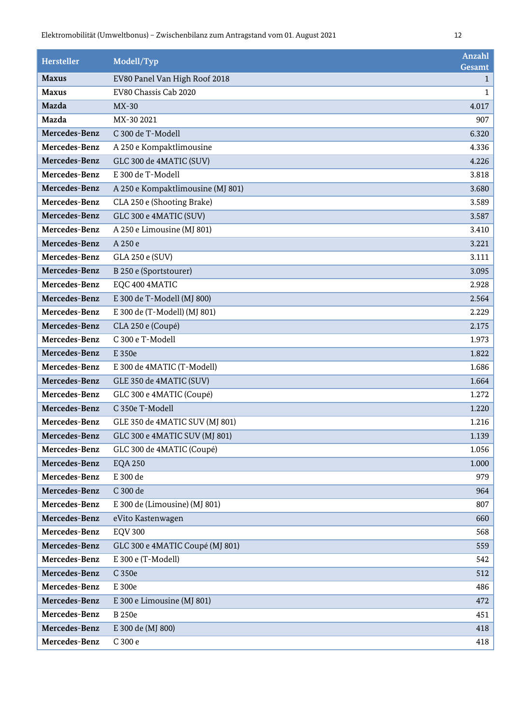| <b>Hersteller</b> | Modell/Typ                        | Anzahl<br>Gesamt |
|-------------------|-----------------------------------|------------------|
| <b>Maxus</b>      | EV80 Panel Van High Roof 2018     | $\mathbf{1}$     |
| <b>Maxus</b>      | EV80 Chassis Cab 2020             | 1                |
| Mazda             | $MX-30$                           | 4.017            |
| Mazda             | MX-30 2021                        | 907              |
| Mercedes-Benz     | C 300 de T-Modell                 | 6.320            |
| Mercedes-Benz     | A 250 e Kompaktlimousine          | 4.336            |
| Mercedes-Benz     | GLC 300 de 4MATIC (SUV)           | 4.226            |
| Mercedes-Benz     | E 300 de T-Modell                 | 3.818            |
| Mercedes-Benz     | A 250 e Kompaktlimousine (MJ 801) | 3.680            |
| Mercedes-Benz     | CLA 250 e (Shooting Brake)        | 3.589            |
| Mercedes-Benz     | GLC 300 e 4MATIC (SUV)            | 3.587            |
| Mercedes-Benz     | A 250 e Limousine (MJ 801)        | 3.410            |
| Mercedes-Benz     | A 250 e                           | 3.221            |
| Mercedes-Benz     | GLA 250 e (SUV)                   | 3.111            |
| Mercedes-Benz     | B 250 e (Sportstourer)            | 3.095            |
| Mercedes-Benz     | EQC 400 4MATIC                    | 2.928            |
| Mercedes-Benz     | E 300 de T-Modell (MJ 800)        | 2.564            |
| Mercedes-Benz     | E 300 de (T-Modell) (MJ 801)      | 2.229            |
| Mercedes-Benz     | CLA 250 e (Coupé)                 | 2.175            |
| Mercedes-Benz     | C 300 e T-Modell                  | 1.973            |
| Mercedes-Benz     | E 350e                            | 1.822            |
| Mercedes-Benz     | E 300 de 4MATIC (T-Modell)        | 1.686            |
| Mercedes-Benz     | GLE 350 de 4MATIC (SUV)           | 1.664            |
| Mercedes-Benz     | GLC 300 e 4MATIC (Coupé)          | 1.272            |
| Mercedes-Benz     | C 350e T-Modell                   | 1.220            |
| Mercedes-Benz     | GLE 350 de 4MATIC SUV (MJ 801)    | 1.216            |
| Mercedes-Benz     | GLC 300 e 4MATIC SUV (MJ 801)     | 1.139            |
| Mercedes-Benz     | GLC 300 de 4MATIC (Coupé)         | 1.056            |
| Mercedes-Benz     | <b>EQA 250</b>                    | 1.000            |
| Mercedes-Benz     | E 300 de                          | 979              |
| Mercedes-Benz     | C 300 de                          | 964              |
| Mercedes-Benz     | E 300 de (Limousine) (MJ 801)     | 807              |
| Mercedes-Benz     | eVito Kastenwagen                 | 660              |
| Mercedes-Benz     | <b>EQV 300</b>                    | 568              |
| Mercedes-Benz     | GLC 300 e 4MATIC Coupé (MJ 801)   | 559              |
| Mercedes-Benz     | E 300 e (T-Modell)                | 542              |
| Mercedes-Benz     | C 350e                            | 512              |
| Mercedes-Benz     | E 300e                            | 486              |
| Mercedes-Benz     | E 300 e Limousine (MJ 801)        | 472              |
| Mercedes-Benz     | <b>B</b> 250e                     | 451              |
| Mercedes-Benz     | E 300 de (MJ 800)                 | 418              |
| Mercedes-Benz     | C 300 e                           | 418              |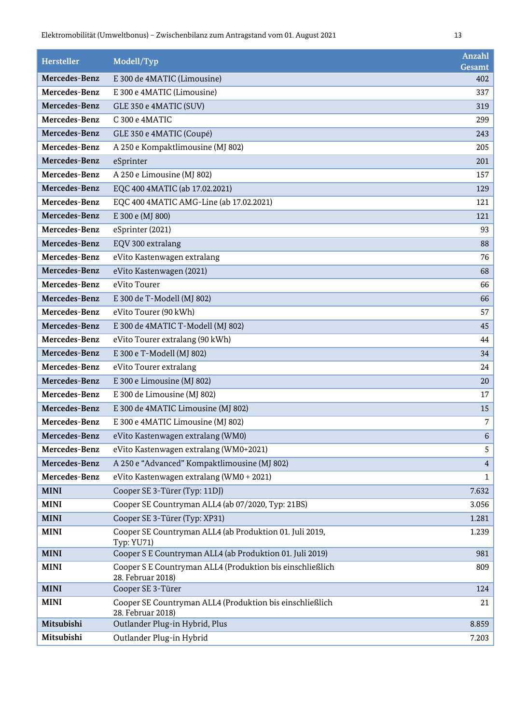| Hersteller    | Modell/Typ                                                                     | Anzahl<br>Gesamt |
|---------------|--------------------------------------------------------------------------------|------------------|
| Mercedes-Benz | E 300 de 4MATIC (Limousine)                                                    | 402              |
| Mercedes-Benz | E 300 e 4MATIC (Limousine)                                                     | 337              |
| Mercedes-Benz | GLE 350 e 4MATIC (SUV)                                                         | 319              |
| Mercedes-Benz | C 300 e 4MATIC                                                                 | 299              |
| Mercedes-Benz | GLE 350 e 4MATIC (Coupé)                                                       | 243              |
| Mercedes-Benz | A 250 e Kompaktlimousine (MJ 802)                                              | 205              |
| Mercedes-Benz | eSprinter                                                                      | 201              |
| Mercedes-Benz | A 250 e Limousine (MJ 802)                                                     | 157              |
| Mercedes-Benz | EQC 400 4MATIC (ab 17.02.2021)                                                 | 129              |
| Mercedes-Benz | EQC 400 4MATIC AMG-Line (ab 17.02.2021)                                        | 121              |
| Mercedes-Benz | E 300 e (MJ 800)                                                               | 121              |
| Mercedes-Benz | eSprinter (2021)                                                               | 93               |
| Mercedes-Benz | EQV 300 extralang                                                              | 88               |
| Mercedes-Benz | eVito Kastenwagen extralang                                                    | 76               |
| Mercedes-Benz | eVito Kastenwagen (2021)                                                       | 68               |
| Mercedes-Benz | eVito Tourer                                                                   | 66               |
| Mercedes-Benz | E 300 de T-Modell (MJ 802)                                                     | 66               |
| Mercedes-Benz | eVito Tourer (90 kWh)                                                          | 57               |
| Mercedes-Benz | E 300 de 4MATIC T-Modell (MJ 802)                                              | 45               |
| Mercedes-Benz | eVito Tourer extralang (90 kWh)                                                | 44               |
| Mercedes-Benz | E 300 e T-Modell (MJ 802)                                                      | 34               |
| Mercedes-Benz | eVito Tourer extralang                                                         | 24               |
| Mercedes-Benz | E 300 e Limousine (MJ 802)                                                     | 20               |
| Mercedes-Benz | E 300 de Limousine (MJ 802)                                                    | 17               |
| Mercedes-Benz | E 300 de 4MATIC Limousine (MJ 802)                                             | 15               |
| Mercedes-Benz | E 300 e 4MATIC Limousine (MJ 802)                                              | 7                |
| Mercedes-Benz | eVito Kastenwagen extralang (WM0)                                              | 6                |
| Mercedes-Benz | eVito Kastenwagen extralang (WM0+2021)                                         | 5                |
| Mercedes-Benz | A 250 e "Advanced" Kompaktlimousine (MJ 802)                                   | $\overline{4}$   |
| Mercedes-Benz | eVito Kastenwagen extralang (WM0 + 2021)                                       | $\mathbf{1}$     |
| <b>MINI</b>   | Cooper SE 3-Türer (Typ: 11DJ)                                                  | 7.632            |
| <b>MINI</b>   | Cooper SE Countryman ALL4 (ab 07/2020, Typ: 21BS)                              | 3.056            |
| <b>MINI</b>   | Cooper SE 3-Türer (Typ: XP31)                                                  | 1.281            |
| <b>MINI</b>   | Cooper SE Countryman ALL4 (ab Produktion 01. Juli 2019,<br><b>Typ: YU71)</b>   | 1.239            |
| <b>MINI</b>   | Cooper S E Countryman ALL4 (ab Produktion 01. Juli 2019)                       | 981              |
| <b>MINI</b>   | Cooper S E Countryman ALL4 (Produktion bis einschließlich<br>28. Februar 2018) | 809              |
| <b>MINI</b>   | Cooper SE 3-Türer                                                              | 124              |
| <b>MINI</b>   | Cooper SE Countryman ALL4 (Produktion bis einschließlich<br>28. Februar 2018)  | 21               |
| Mitsubishi    | Outlander Plug-in Hybrid, Plus                                                 | 8.859            |
| Mitsubishi    | Outlander Plug-in Hybrid                                                       | 7.203            |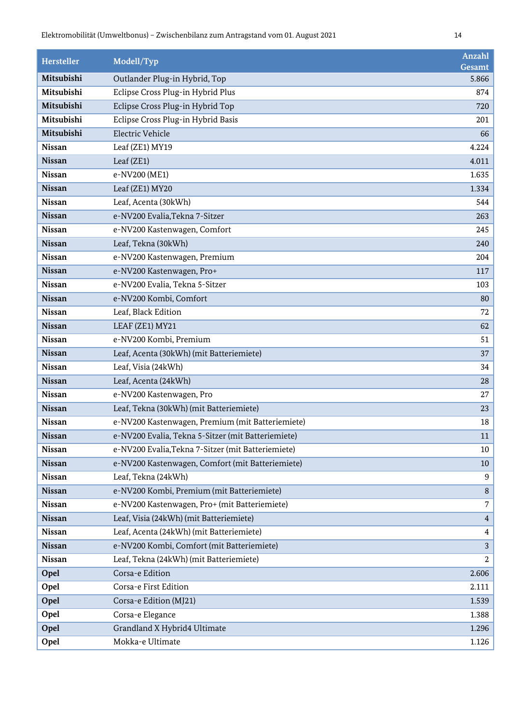| <b>Hersteller</b> | Modell/Typ                                         | <b>Anzahl</b><br>Gesamt |
|-------------------|----------------------------------------------------|-------------------------|
| Mitsubishi        | Outlander Plug-in Hybrid, Top                      | 5.866                   |
| Mitsubishi        | Eclipse Cross Plug-in Hybrid Plus                  | 874                     |
| Mitsubishi        | Eclipse Cross Plug-in Hybrid Top                   | 720                     |
| Mitsubishi        | Eclipse Cross Plug-in Hybrid Basis                 | 201                     |
| Mitsubishi        | Electric Vehicle                                   | 66                      |
| <b>Nissan</b>     | Leaf (ZE1) MY19                                    | 4.224                   |
| <b>Nissan</b>     | Leaf (ZE1)                                         | 4.011                   |
| <b>Nissan</b>     | e-NV200 (ME1)                                      | 1.635                   |
| <b>Nissan</b>     | Leaf (ZE1) MY20                                    | 1.334                   |
| <b>Nissan</b>     | Leaf, Acenta (30kWh)                               | 544                     |
| <b>Nissan</b>     | e-NV200 Evalia, Tekna 7-Sitzer                     | 263                     |
| <b>Nissan</b>     | e-NV200 Kastenwagen, Comfort                       | 245                     |
| <b>Nissan</b>     | Leaf, Tekna (30kWh)                                | 240                     |
| <b>Nissan</b>     | e-NV200 Kastenwagen, Premium                       | 204                     |
| <b>Nissan</b>     | e-NV200 Kastenwagen, Pro+                          | 117                     |
| <b>Nissan</b>     | e-NV200 Evalia, Tekna 5-Sitzer                     | 103                     |
| <b>Nissan</b>     | e-NV200 Kombi, Comfort                             | 80                      |
| <b>Nissan</b>     | Leaf, Black Edition                                | 72                      |
| <b>Nissan</b>     | LEAF (ZE1) MY21                                    | 62                      |
| <b>Nissan</b>     | e-NV200 Kombi, Premium                             | 51                      |
| <b>Nissan</b>     | Leaf, Acenta (30kWh) (mit Batteriemiete)           | 37                      |
| <b>Nissan</b>     | Leaf, Visia (24kWh)                                | 34                      |
| <b>Nissan</b>     | Leaf, Acenta (24kWh)                               | 28                      |
| <b>Nissan</b>     | e-NV200 Kastenwagen, Pro                           | 27                      |
| <b>Nissan</b>     | Leaf, Tekna (30kWh) (mit Batteriemiete)            | 23                      |
| <b>Nissan</b>     | e-NV200 Kastenwagen, Premium (mit Batteriemiete)   | 18                      |
| <b>Nissan</b>     | e-NV200 Evalia, Tekna 5-Sitzer (mit Batteriemiete) | 11                      |
| <b>Nissan</b>     | e-NV200 Evalia, Tekna 7-Sitzer (mit Batteriemiete) | 10                      |
| <b>Nissan</b>     | e-NV200 Kastenwagen, Comfort (mit Batteriemiete)   | 10                      |
| <b>Nissan</b>     | Leaf, Tekna (24kWh)                                | 9                       |
| <b>Nissan</b>     | e-NV200 Kombi, Premium (mit Batteriemiete)         | 8                       |
| <b>Nissan</b>     | e-NV200 Kastenwagen, Pro+ (mit Batteriemiete)      | 7                       |
| <b>Nissan</b>     | Leaf, Visia (24kWh) (mit Batteriemiete)            | $\overline{4}$          |
| <b>Nissan</b>     | Leaf, Acenta (24kWh) (mit Batteriemiete)           | 4                       |
| <b>Nissan</b>     | e-NV200 Kombi, Comfort (mit Batteriemiete)         | 3                       |
| <b>Nissan</b>     | Leaf, Tekna (24kWh) (mit Batteriemiete)            | $\boldsymbol{2}$        |
| Opel              | Corsa-e Edition                                    | 2.606                   |
| Opel              | Corsa-e First Edition                              | 2.111                   |
| Opel              | Corsa-e Edition (MJ21)                             | 1.539                   |
| Opel              | Corsa-e Elegance                                   | 1.388                   |
| Opel              | Grandland X Hybrid4 Ultimate                       | 1.296                   |
| Opel              | Mokka-e Ultimate                                   | 1.126                   |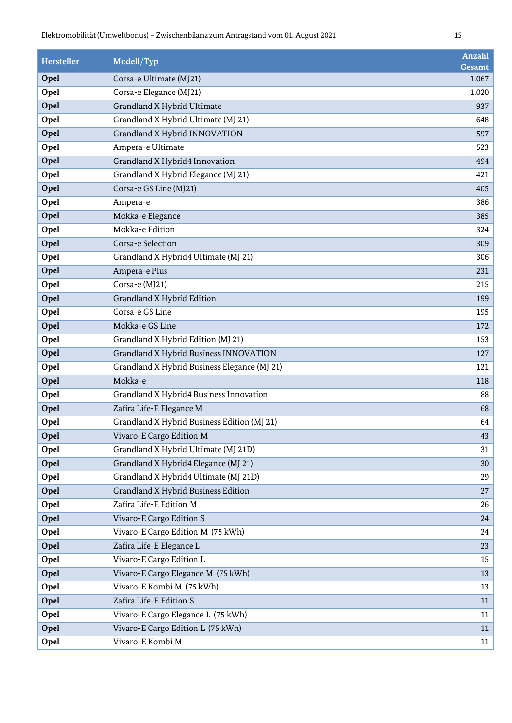| <b>Hersteller</b> | Modell/Typ                                   | Anzahl<br>Gesamt |
|-------------------|----------------------------------------------|------------------|
| Opel              | Corsa-e Ultimate (MJ21)                      | 1.067            |
| Opel              | Corsa-e Elegance (MJ21)                      | 1.020            |
| Opel              | Grandland X Hybrid Ultimate                  | 937              |
| Opel              | Grandland X Hybrid Ultimate (MJ 21)          | 648              |
| Opel              | Grandland X Hybrid INNOVATION                | 597              |
| Opel              | Ampera-e Ultimate                            | 523              |
| Opel              | Grandland X Hybrid4 Innovation               | 494              |
| Opel              | Grandland X Hybrid Elegance (MJ 21)          | 421              |
| Opel              | Corsa-e GS Line (MJ21)                       | 405              |
| Opel              | Ampera-e                                     | 386              |
| Opel              | Mokka-e Elegance                             | 385              |
| Opel              | Mokka-e Edition                              | 324              |
| Opel              | Corsa-e Selection                            | 309              |
| Opel              | Grandland X Hybrid4 Ultimate (MJ 21)         | 306              |
| Opel              | Ampera-e Plus                                | 231              |
| Opel              | Corsa-e (MJ21)                               | 215              |
| Opel              | Grandland X Hybrid Edition                   | 199              |
| Opel              | Corsa-e GS Line                              | 195              |
| Opel              | Mokka-e GS Line                              | 172              |
| Opel              | Grandland X Hybrid Edition (MJ 21)           | 153              |
| Opel              | Grandland X Hybrid Business INNOVATION       | 127              |
| Opel              | Grandland X Hybrid Business Elegance (MJ 21) | 121              |
| Opel              | Mokka-e                                      | 118              |
| Opel              | Grandland X Hybrid4 Business Innovation      | 88               |
| Opel              | Zafira Life-E Elegance M                     | 68               |
| Opel              | Grandland X Hybrid Business Edition (MJ 21)  | 64               |
| Opel              | Vivaro-E Cargo Edition M                     | 43               |
| Opel              | Grandland X Hybrid Ultimate (MJ 21D)         | 31               |
| Opel              | Grandland X Hybrid4 Elegance (MJ 21)         | 30               |
| Opel              | Grandland X Hybrid4 Ultimate (MJ 21D)        | 29               |
| Opel              | Grandland X Hybrid Business Edition          | 27               |
| Opel              | Zafira Life-E Edition M                      | 26               |
| Opel              | Vivaro-E Cargo Edition S                     | 24               |
| Opel              | Vivaro-E Cargo Edition M (75 kWh)            | 24               |
| Opel              | Zafira Life-E Elegance L                     | 23               |
| Opel              | Vivaro-E Cargo Edition L                     | 15               |
| Opel              | Vivaro-E Cargo Elegance M (75 kWh)           | 13               |
| Opel              | Vivaro-E Kombi M (75 kWh)                    | 13               |
| Opel              | Zafira Life-E Edition S                      | 11               |
| Opel              | Vivaro-E Cargo Elegance L (75 kWh)           | 11               |
| Opel              | Vivaro-E Cargo Edition L (75 kWh)            | 11               |
| Opel              | Vivaro-E Kombi M                             | 11               |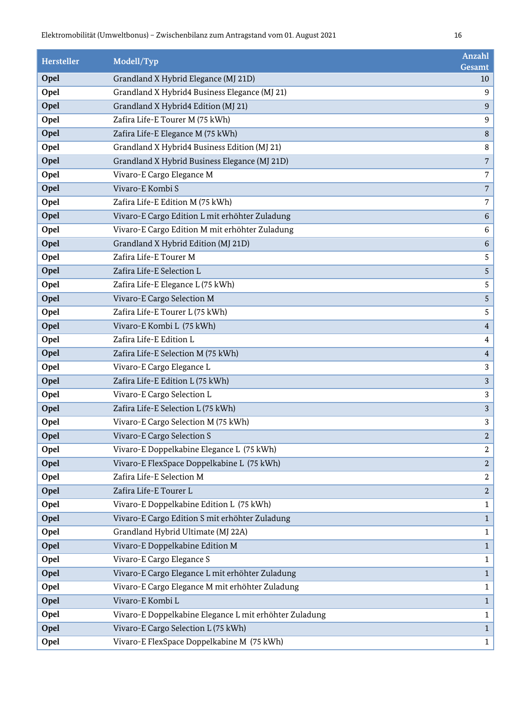| <b>Hersteller</b> | Modell/Typ                                             | <b>Anzahl</b><br>Gesamt |
|-------------------|--------------------------------------------------------|-------------------------|
| Opel              | Grandland X Hybrid Elegance (MJ 21D)                   | 10                      |
| Opel              | Grandland X Hybrid4 Business Elegance (MJ 21)          | 9                       |
| Opel              | Grandland X Hybrid4 Edition (MJ 21)                    | 9                       |
| Opel              | Zafira Life-E Tourer M (75 kWh)                        | $\boldsymbol{9}$        |
| Opel              | Zafira Life-E Elegance M (75 kWh)                      | $\, 8$                  |
| Opel              | Grandland X Hybrid4 Business Edition (MJ 21)           | 8                       |
| Opel              | Grandland X Hybrid Business Elegance (MJ 21D)          | $\sqrt{7}$              |
| Opel              | Vivaro-E Cargo Elegance M                              | $\overline{7}$          |
| Opel              | Vivaro-E Kombi S                                       | $\sqrt{2}$              |
| Opel              | Zafira Life-E Edition M (75 kWh)                       | $\sqrt{ }$              |
| Opel              | Vivaro-E Cargo Edition L mit erhöhter Zuladung         | $\,6\,$                 |
| Opel              | Vivaro-E Cargo Edition M mit erhöhter Zuladung         | 6                       |
| Opel              | Grandland X Hybrid Edition (MJ 21D)                    | $\,6\,$                 |
| Opel              | Zafira Life-E Tourer M                                 | $\sqrt{5}$              |
| Opel              | Zafira Life-E Selection L                              | $\sqrt{5}$              |
| Opel              | Zafira Life-E Elegance L (75 kWh)                      | 5                       |
| Opel              | Vivaro-E Cargo Selection M                             | 5                       |
| Opel              | Zafira Life-E Tourer L (75 kWh)                        | 5                       |
| Opel              | Vivaro-E Kombi L (75 kWh)                              | $\sqrt{4}$              |
| Opel              | Zafira Life-E Edition L                                | $\overline{4}$          |
| Opel              | Zafira Life-E Selection M (75 kWh)                     | $\overline{4}$          |
| Opel              | Vivaro-E Cargo Elegance L                              | 3                       |
| Opel              | Zafira Life-E Edition L (75 kWh)                       | 3                       |
| Opel              | Vivaro-E Cargo Selection L                             | 3                       |
| Opel              | Zafira Life-E Selection L (75 kWh)                     | $\sqrt{3}$              |
| Opel              | Vivaro-E Cargo Selection M (75 kWh)                    | $\sqrt{3}$              |
| Opel              | Vivaro-E Cargo Selection S                             | $\boldsymbol{2}$        |
| Opel              | Vivaro-E Doppelkabine Elegance L (75 kWh)              | $\boldsymbol{2}$        |
| Opel              | Vivaro-E FlexSpace Doppelkabine L (75 kWh)             | $\sqrt{2}$              |
| Opel              | Zafira Life-E Selection M                              | $\boldsymbol{2}$        |
| Opel              | Zafira Life-E Tourer L                                 | $\sqrt{2}$              |
| Opel              | Vivaro-E Doppelkabine Edition L (75 kWh)               | $\mathbf{1}$            |
| Opel              | Vivaro-E Cargo Edition S mit erhöhter Zuladung         | $\mathbf{1}$            |
| Opel              | Grandland Hybrid Ultimate (MJ 22A)                     | $\mathbf{1}$            |
| Opel              | Vivaro-E Doppelkabine Edition M                        | $\mathbf{1}$            |
| Opel              | Vivaro-E Cargo Elegance S                              | $\mathbf{1}$            |
| Opel              | Vivaro-E Cargo Elegance L mit erhöhter Zuladung        | $\mathbf{1}$            |
| Opel              | Vivaro-E Cargo Elegance M mit erhöhter Zuladung        | $\mathbf{1}$            |
| Opel              | Vivaro-E Kombi L                                       | $\mathbf{1}$            |
| Opel              | Vivaro-E Doppelkabine Elegance L mit erhöhter Zuladung | $\mathbf{1}$            |
| Opel              | Vivaro-E Cargo Selection L (75 kWh)                    | $\mathbf{1}$            |
| Opel              | Vivaro-E FlexSpace Doppelkabine M (75 kWh)             | 1                       |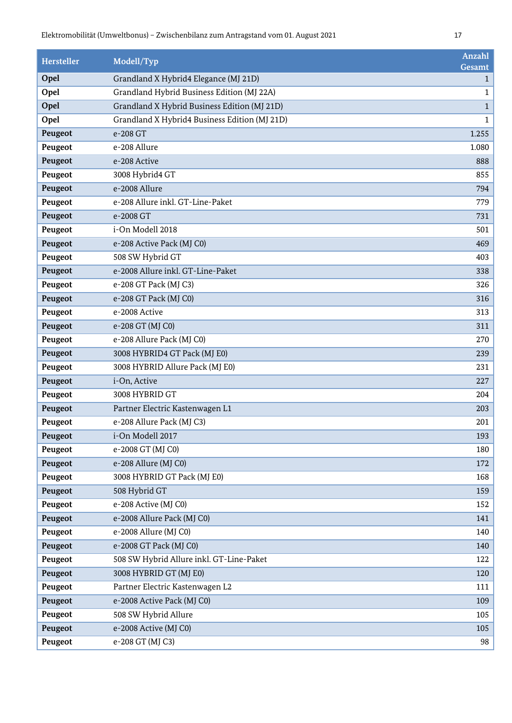| <b>Hersteller</b> | Modell/Typ                                    | Anzahl<br>Gesamt |
|-------------------|-----------------------------------------------|------------------|
| Opel              | Grandland X Hybrid4 Elegance (MJ 21D)         | $\mathbf{1}$     |
| Opel              | Grandland Hybrid Business Edition (MJ 22A)    | 1                |
| Opel              | Grandland X Hybrid Business Edition (MJ 21D)  | $\mathbf{1}$     |
| Opel              | Grandland X Hybrid4 Business Edition (MJ 21D) | $\mathbf{1}$     |
| Peugeot           | e-208 GT                                      | 1.255            |
| Peugeot           | e-208 Allure                                  | 1.080            |
| Peugeot           | e-208 Active                                  | 888              |
| Peugeot           | 3008 Hybrid4 GT                               | 855              |
| Peugeot           | e-2008 Allure                                 | 794              |
| Peugeot           | e-208 Allure inkl. GT-Line-Paket              | 779              |
| Peugeot           | e-2008 GT                                     | 731              |
| Peugeot           | i-On Modell 2018                              | 501              |
| Peugeot           | e-208 Active Pack (MJ C0)                     | 469              |
| Peugeot           | 508 SW Hybrid GT                              | 403              |
| Peugeot           | e-2008 Allure inkl. GT-Line-Paket             | 338              |
| Peugeot           | e-208 GT Pack (MJ C3)                         | 326              |
| Peugeot           | e-208 GT Pack (MJ C0)                         | 316              |
| Peugeot           | e-2008 Active                                 | 313              |
| Peugeot           | e-208 GT (MJ C0)                              | 311              |
| Peugeot           | e-208 Allure Pack (MJ C0)                     | 270              |
| Peugeot           | 3008 HYBRID4 GT Pack (MJ E0)                  | 239              |
| Peugeot           | 3008 HYBRID Allure Pack (MJ E0)               | 231              |
| Peugeot           | i-On, Active                                  | 227              |
| Peugeot           | 3008 HYBRID GT                                | 204              |
| Peugeot           | Partner Electric Kastenwagen L1               | 203              |
| Peugeot           | e-208 Allure Pack (MJ C3)                     | 201              |
| Peugeot           | i-On Modell 2017                              | 193              |
| Peugeot           | e-2008 GT (MJ C0)                             | 180              |
| Peugeot           | e-208 Allure (MJ C0)                          | 172              |
| Peugeot           | 3008 HYBRID GT Pack (MJ E0)                   | 168              |
| Peugeot           | 508 Hybrid GT                                 | 159              |
| Peugeot           | e-208 Active (MJ C0)                          | 152              |
| Peugeot           | e-2008 Allure Pack (MJ C0)                    | 141              |
| Peugeot           | e-2008 Allure (MJ C0)                         | 140              |
| Peugeot           | e-2008 GT Pack (MJ C0)                        | 140              |
| Peugeot           | 508 SW Hybrid Allure inkl. GT-Line-Paket      | 122              |
| Peugeot           | 3008 HYBRID GT (MJ E0)                        | 120              |
| Peugeot           | Partner Electric Kastenwagen L2               | 111              |
| Peugeot           | e-2008 Active Pack (MJ C0)                    | 109              |
| Peugeot           | 508 SW Hybrid Allure                          | 105              |
| Peugeot           | e-2008 Active (MJ C0)                         | 105              |
| Peugeot           | e-208 GT (MJ C3)                              | 98               |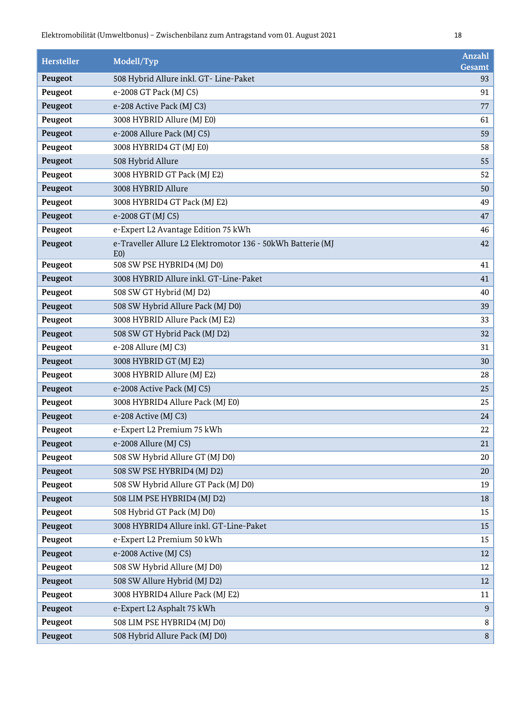| <b>Hersteller</b> | Modell/Typ                                                                    | Anzahl<br>Gesamt |
|-------------------|-------------------------------------------------------------------------------|------------------|
| Peugeot           | 508 Hybrid Allure inkl. GT- Line-Paket                                        | 93               |
| Peugeot           | e-2008 GT Pack (MJ C5)                                                        | 91               |
| Peugeot           | e-208 Active Pack (MJ C3)                                                     | 77               |
| Peugeot           | 3008 HYBRID Allure (MJ E0)                                                    | 61               |
| Peugeot           | e-2008 Allure Pack (MJ C5)                                                    | 59               |
| Peugeot           | 3008 HYBRID4 GT (MJ E0)                                                       | 58               |
| Peugeot           | 508 Hybrid Allure                                                             | 55               |
| Peugeot           | 3008 HYBRID GT Pack (MJ E2)                                                   | 52               |
| Peugeot           | 3008 HYBRID Allure                                                            | 50               |
| Peugeot           | 3008 HYBRID4 GT Pack (MJ E2)                                                  | 49               |
| Peugeot           | e-2008 GT (MJ C5)                                                             | 47               |
| Peugeot           | e-Expert L2 Avantage Edition 75 kWh                                           | 46               |
| Peugeot           | e-Traveller Allure L2 Elektromotor 136 - 50kWh Batterie (MJ<br>E <sub>0</sub> | 42               |
| Peugeot           | 508 SW PSE HYBRID4 (MJ D0)                                                    | 41               |
| Peugeot           | 3008 HYBRID Allure inkl. GT-Line-Paket                                        | 41               |
| Peugeot           | 508 SW GT Hybrid (MJ D2)                                                      | 40               |
| Peugeot           | 508 SW Hybrid Allure Pack (MJ D0)                                             | 39               |
| Peugeot           | 3008 HYBRID Allure Pack (MJ E2)                                               | 33               |
| Peugeot           | 508 SW GT Hybrid Pack (MJ D2)                                                 | 32               |
| Peugeot           | e-208 Allure (MJ C3)                                                          | 31               |
| Peugeot           | 3008 HYBRID GT (MJ E2)                                                        | 30               |
| Peugeot           | 3008 HYBRID Allure (MJ E2)                                                    | 28               |
| Peugeot           | e-2008 Active Pack (MJ C5)                                                    | 25               |
| Peugeot           | 3008 HYBRID4 Allure Pack (MJ E0)                                              | 25               |
| Peugeot           | e-208 Active (MJ C3)                                                          | 24               |
| Peugeot           | e-Expert L2 Premium 75 kWh                                                    | 22               |
| Peugeot           | e-2008 Allure (MJ C5)                                                         | 21               |
| Peugeot           | 508 SW Hybrid Allure GT (MJ D0)                                               | 20               |
| Peugeot           | 508 SW PSE HYBRID4 (MJ D2)                                                    | 20               |
| Peugeot           | 508 SW Hybrid Allure GT Pack (MJ D0)                                          | 19               |
| Peugeot           | 508 LIM PSE HYBRID4 (MJ D2)                                                   | 18               |
| Peugeot           | 508 Hybrid GT Pack (MJ D0)                                                    | 15               |
| Peugeot           | 3008 HYBRID4 Allure inkl. GT-Line-Paket                                       | 15               |
| Peugeot           | e-Expert L2 Premium 50 kWh                                                    | 15               |
| Peugeot           | e-2008 Active (MJ C5)                                                         | 12               |
| Peugeot           | 508 SW Hybrid Allure (MJ D0)                                                  | 12               |
| Peugeot           | 508 SW Allure Hybrid (MJ D2)                                                  | 12               |
| Peugeot           | 3008 HYBRID4 Allure Pack (MJ E2)                                              | 11               |
| Peugeot           | e-Expert L2 Asphalt 75 kWh                                                    | 9                |
| Peugeot           | 508 LIM PSE HYBRID4 (MJ D0)                                                   | $\, 8$           |
| Peugeot           | 508 Hybrid Allure Pack (MJ D0)                                                | 8                |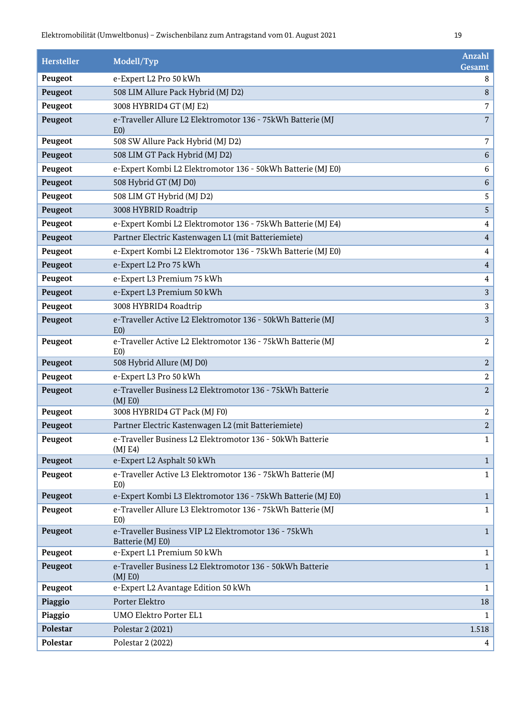| <b>Hersteller</b> | Modell/Typ                                                                    | <b>Anzahl</b><br>Gesamt |
|-------------------|-------------------------------------------------------------------------------|-------------------------|
| Peugeot           | e-Expert L2 Pro 50 kWh                                                        | 8                       |
| Peugeot           | 508 LIM Allure Pack Hybrid (MJ D2)                                            | 8                       |
| Peugeot           | 3008 HYBRID4 GT (MJ E2)                                                       | 7                       |
| Peugeot           | e-Traveller Allure L2 Elektromotor 136 - 75kWh Batterie (MJ<br>E <sub>0</sub> | $\overline{7}$          |
| Peugeot           | 508 SW Allure Pack Hybrid (MJ D2)                                             | $\overline{7}$          |
| Peugeot           | 508 LIM GT Pack Hybrid (MJ D2)                                                | $\,6\,$                 |
| Peugeot           | e-Expert Kombi L2 Elektromotor 136 - 50kWh Batterie (MJ E0)                   | 6                       |
| Peugeot           | 508 Hybrid GT (MJ D0)                                                         | $\,6\,$                 |
| Peugeot           | 508 LIM GT Hybrid (MJ D2)                                                     | 5                       |
| Peugeot           | 3008 HYBRID Roadtrip                                                          | $\sqrt{5}$              |
| Peugeot           | e-Expert Kombi L2 Elektromotor 136 - 75kWh Batterie (MJ E4)                   | $\overline{4}$          |
| Peugeot           | Partner Electric Kastenwagen L1 (mit Batteriemiete)                           | $\overline{4}$          |
| Peugeot           | e-Expert Kombi L2 Elektromotor 136 - 75kWh Batterie (MJ E0)                   | $\overline{4}$          |
| Peugeot           | e-Expert L2 Pro 75 kWh                                                        | $\overline{4}$          |
| Peugeot           | e-Expert L3 Premium 75 kWh                                                    | $\overline{4}$          |
| Peugeot           | e-Expert L3 Premium 50 kWh                                                    | $\mathbf{3}$            |
| Peugeot           | 3008 HYBRID4 Roadtrip                                                         | $\sqrt{3}$              |
| Peugeot           | e-Traveller Active L2 Elektromotor 136 - 50kWh Batterie (MJ<br>E <sub>0</sub> | 3                       |
| Peugeot           | e-Traveller Active L2 Elektromotor 136 - 75kWh Batterie (MJ<br>E <sub>0</sub> | $\boldsymbol{2}$        |
| Peugeot           | 508 Hybrid Allure (MJ D0)                                                     | $\sqrt{2}$              |
| Peugeot           | e-Expert L3 Pro 50 kWh                                                        | $\sqrt{2}$              |
| Peugeot           | e-Traveller Business L2 Elektromotor 136 - 75kWh Batterie<br>(MJ E0)          | $\sqrt{2}$              |
| Peugeot           | 3008 HYBRID4 GT Pack (MJ F0)                                                  | 2                       |
| Peugeot           | Partner Electric Kastenwagen L2 (mit Batteriemiete)                           | $\sqrt{2}$              |
| Peugeot           | e-Traveller Business L2 Elektromotor 136 - 50kWh Batterie<br>(MJ E4)          | $\mathbf{1}$            |
| Peugeot           | e-Expert L2 Asphalt 50 kWh                                                    | $1\,$                   |
| Peugeot           | e-Traveller Active L3 Elektromotor 136 - 75kWh Batterie (MJ<br>E(0)           | $\mathbf{1}$            |
| Peugeot           | e-Expert Kombi L3 Elektromotor 136 - 75kWh Batterie (MJ E0)                   | $\mathbf{1}$            |
| Peugeot           | e-Traveller Allure L3 Elektromotor 136 - 75kWh Batterie (MJ<br>E <sub>0</sub> | $\mathbf{1}$            |
| Peugeot           | e-Traveller Business VIP L2 Elektromotor 136 - 75kWh<br>Batterie (MJ E0)      | $\mathbf{1}$            |
| Peugeot           | e-Expert L1 Premium 50 kWh                                                    | $\mathbf{1}$            |
| Peugeot           | e-Traveller Business L2 Elektromotor 136 - 50kWh Batterie<br>(MJ E0)          | $\mathbf{1}$            |
| Peugeot           | e-Expert L2 Avantage Edition 50 kWh                                           | $\mathbf{1}$            |
| Piaggio           | Porter Elektro                                                                | 18                      |
| Piaggio           | <b>UMO Elektro Porter EL1</b>                                                 | 1                       |
| Polestar          | Polestar 2 (2021)                                                             | 1.518                   |
| Polestar          | Polestar 2 (2022)                                                             | 4                       |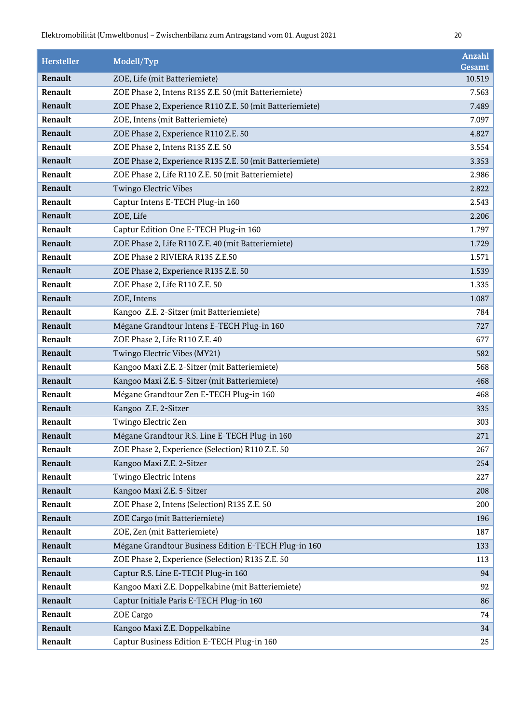| <b>Hersteller</b> | Modell/Typ                                               | <b>Anzahl</b><br>Gesamt |
|-------------------|----------------------------------------------------------|-------------------------|
| Renault           | ZOE, Life (mit Batteriemiete)                            | 10.519                  |
| Renault           | ZOE Phase 2, Intens R135 Z.E. 50 (mit Batteriemiete)     | 7.563                   |
| Renault           | ZOE Phase 2, Experience R110 Z.E. 50 (mit Batteriemiete) | 7.489                   |
| Renault           | ZOE, Intens (mit Batteriemiete)                          | 7.097                   |
| Renault           | ZOE Phase 2, Experience R110 Z.E. 50                     | 4.827                   |
| Renault           | ZOE Phase 2, Intens R135 Z.E. 50                         | 3.554                   |
| Renault           | ZOE Phase 2, Experience R135 Z.E. 50 (mit Batteriemiete) | 3.353                   |
| Renault           | ZOE Phase 2, Life R110 Z.E. 50 (mit Batteriemiete)       | 2.986                   |
| Renault           | Twingo Electric Vibes                                    | 2.822                   |
| Renault           | Captur Intens E-TECH Plug-in 160                         | 2.543                   |
| Renault           | ZOE, Life                                                | 2.206                   |
| Renault           | Captur Edition One E-TECH Plug-in 160                    | 1.797                   |
| Renault           | ZOE Phase 2, Life R110 Z.E. 40 (mit Batteriemiete)       | 1.729                   |
| Renault           | ZOE Phase 2 RIVIERA R135 Z.E.50                          | 1.571                   |
| Renault           | ZOE Phase 2, Experience R135 Z.E. 50                     | 1.539                   |
| Renault           | ZOE Phase 2, Life R110 Z.E. 50                           | 1.335                   |
| Renault           | ZOE, Intens                                              | 1.087                   |
| Renault           | Kangoo Z.E. 2-Sitzer (mit Batteriemiete)                 | 784                     |
| Renault           | Mégane Grandtour Intens E-TECH Plug-in 160               | 727                     |
| Renault           | ZOE Phase 2, Life R110 Z.E. 40                           | 677                     |
| Renault           | Twingo Electric Vibes (MY21)                             | 582                     |
| Renault           | Kangoo Maxi Z.E. 2-Sitzer (mit Batteriemiete)            | 568                     |
| Renault           | Kangoo Maxi Z.E. 5-Sitzer (mit Batteriemiete)            | 468                     |
| Renault           | Mégane Grandtour Zen E-TECH Plug-in 160                  | 468                     |
| Renault           | Kangoo Z.E. 2-Sitzer                                     | 335                     |
| Renault           | Twingo Electric Zen                                      | 303                     |
| Renault           | Mégane Grandtour R.S. Line E-TECH Plug-in 160            | 271                     |
| Renault           | ZOE Phase 2, Experience (Selection) R110 Z.E. 50         | 267                     |
| Renault           | Kangoo Maxi Z.E. 2-Sitzer                                | 254                     |
| Renault           | Twingo Electric Intens                                   | 227                     |
| Renault           | Kangoo Maxi Z.E. 5-Sitzer                                | 208                     |
| Renault           | ZOE Phase 2, Intens (Selection) R135 Z.E. 50             | 200                     |
| Renault           | ZOE Cargo (mit Batteriemiete)                            | 196                     |
| Renault           | ZOE, Zen (mit Batteriemiete)                             | 187                     |
| Renault           | Mégane Grandtour Business Edition E-TECH Plug-in 160     | 133                     |
| Renault           | ZOE Phase 2, Experience (Selection) R135 Z.E. 50         | 113                     |
| Renault           | Captur R.S. Line E-TECH Plug-in 160                      | 94                      |
| Renault           | Kangoo Maxi Z.E. Doppelkabine (mit Batteriemiete)        | 92                      |
| Renault           | Captur Initiale Paris E-TECH Plug-in 160                 | 86                      |
| Renault           | ZOE Cargo                                                | 74                      |
| Renault           | Kangoo Maxi Z.E. Doppelkabine                            | 34                      |
| Renault           | Captur Business Edition E-TECH Plug-in 160               | 25                      |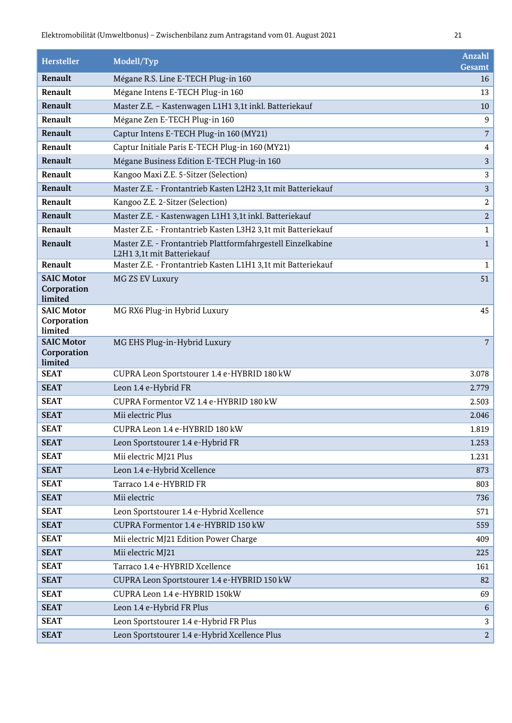| <b>Hersteller</b>                           | Modell/Typ                                                                                 | Anzahl<br>Gesamt |
|---------------------------------------------|--------------------------------------------------------------------------------------------|------------------|
| Renault                                     | Mégane R.S. Line E-TECH Plug-in 160                                                        | 16               |
| Renault                                     | Mégane Intens E-TECH Plug-in 160                                                           | 13               |
| Renault                                     | Master Z.E. - Kastenwagen L1H1 3,1t inkl. Batteriekauf                                     | 10               |
| Renault                                     | Mégane Zen E-TECH Plug-in 160                                                              | $9$              |
| Renault                                     | Captur Intens E-TECH Plug-in 160 (MY21)                                                    | $\overline{7}$   |
| Renault                                     | Captur Initiale Paris E-TECH Plug-in 160 (MY21)                                            | 4                |
| Renault                                     | Mégane Business Edition E-TECH Plug-in 160                                                 | $\sqrt{3}$       |
| Renault                                     | Kangoo Maxi Z.E. 5-Sitzer (Selection)                                                      | 3                |
| Renault                                     | Master Z.E. - Frontantrieb Kasten L2H2 3,1t mit Batteriekauf                               | $\sqrt{3}$       |
| Renault                                     | Kangoo Z.E. 2-Sitzer (Selection)                                                           | $\sqrt{2}$       |
| Renault                                     | Master Z.E. - Kastenwagen L1H1 3,1t inkl. Batteriekauf                                     | $\overline{2}$   |
| Renault                                     | Master Z.E. - Frontantrieb Kasten L3H2 3,1t mit Batteriekauf                               | $\mathbf{1}$     |
| Renault                                     | Master Z.E. - Frontantrieb Plattformfahrgestell Einzelkabine<br>L2H1 3,1t mit Batteriekauf | $\mathbf{1}$     |
| Renault                                     | Master Z.E. - Frontantrieb Kasten L1H1 3,1t mit Batteriekauf                               | $\mathbf{1}$     |
| <b>SAIC Motor</b>                           | MG ZS EV Luxury                                                                            | 51               |
| Corporation<br>limited                      |                                                                                            |                  |
| <b>SAIC Motor</b><br>Corporation<br>limited | MG RX6 Plug-in Hybrid Luxury                                                               | 45               |
| <b>SAIC Motor</b><br>Corporation<br>limited | MG EHS Plug-in-Hybrid Luxury                                                               | 7                |
| <b>SEAT</b>                                 | CUPRA Leon Sportstourer 1.4 e-HYBRID 180 kW                                                | 3.078            |
| <b>SEAT</b>                                 | Leon 1.4 e-Hybrid FR                                                                       | 2.779            |
| <b>SEAT</b>                                 | CUPRA Formentor VZ 1.4 e-HYBRID 180 kW                                                     | 2.503            |
| <b>SEAT</b>                                 | Mii electric Plus                                                                          | 2.046            |
| <b>SEAT</b>                                 | CUPRA Leon 1.4 e-HYBRID 180 kW                                                             | 1.819            |
| <b>SEAT</b>                                 | Leon Sportstourer 1.4 e-Hybrid FR                                                          | 1.253            |
| <b>SEAT</b>                                 | Mii electric MJ21 Plus                                                                     | 1.231            |
| <b>SEAT</b>                                 | Leon 1.4 e-Hybrid Xcellence                                                                | 873              |
| <b>SEAT</b>                                 | Tarraco 1.4 e-HYBRID FR                                                                    | 803              |
| <b>SEAT</b>                                 | Mii electric                                                                               | 736              |
| <b>SEAT</b>                                 | Leon Sportstourer 1.4 e-Hybrid Xcellence                                                   | 571              |
| <b>SEAT</b>                                 | CUPRA Formentor 1.4 e-HYBRID 150 kW                                                        | 559              |
| <b>SEAT</b>                                 | Mii electric MJ21 Edition Power Charge                                                     | 409              |
| <b>SEAT</b>                                 | Mii electric MJ21                                                                          | 225              |
| <b>SEAT</b>                                 | Tarraco 1.4 e-HYBRID Xcellence                                                             | 161              |
| <b>SEAT</b>                                 | CUPRA Leon Sportstourer 1.4 e-HYBRID 150 kW                                                | 82               |
| <b>SEAT</b>                                 | CUPRA Leon 1.4 e-HYBRID 150kW                                                              | 69               |
| <b>SEAT</b>                                 | Leon 1.4 e-Hybrid FR Plus                                                                  | 6                |
| <b>SEAT</b>                                 | Leon Sportstourer 1.4 e-Hybrid FR Plus                                                     | 3                |
| <b>SEAT</b>                                 | Leon Sportstourer 1.4 e-Hybrid Xcellence Plus                                              | $\overline{a}$   |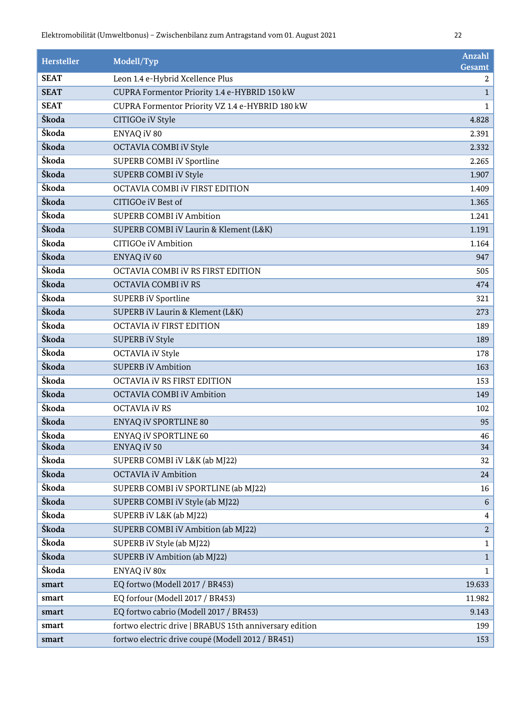| <b>Hersteller</b> | Modell/Typ                                              | Anzahl<br>Gesamt |
|-------------------|---------------------------------------------------------|------------------|
| <b>SEAT</b>       | Leon 1.4 e-Hybrid Xcellence Plus                        | $\mathbf{2}$     |
| <b>SEAT</b>       | CUPRA Formentor Priority 1.4 e-HYBRID 150 kW            | $\mathbf{1}$     |
| <b>SEAT</b>       | CUPRA Formentor Priority VZ 1.4 e-HYBRID 180 kW         | $\mathbf 1$      |
| Škoda             | CITIGOe iV Style                                        | 4.828            |
| Škoda             | ENYAQ iV 80                                             | 2.391            |
| Škoda             | OCTAVIA COMBI iV Style                                  | 2.332            |
| Škoda             | SUPERB COMBI iV Sportline                               | 2.265            |
| Škoda             | SUPERB COMBI iV Style                                   | 1.907            |
| Škoda             | OCTAVIA COMBI IV FIRST EDITION                          | 1.409            |
| Škoda             | CITIGOe iV Best of                                      | 1.365            |
| Škoda             | <b>SUPERB COMBI iV Ambition</b>                         | 1.241            |
| Škoda             | SUPERB COMBI iV Laurin & Klement (L&K)                  | 1.191            |
| Škoda             | CITIGOe iV Ambition                                     | 1.164            |
| Škoda             | ENYAQ iV 60                                             | 947              |
| Škoda             | OCTAVIA COMBI iV RS FIRST EDITION                       | 505              |
| Škoda             | OCTAVIA COMBI iV RS                                     | 474              |
| Škoda             | <b>SUPERB iV Sportline</b>                              | 321              |
| Škoda             | SUPERB iV Laurin & Klement (L&K)                        | 273              |
| Škoda             | <b>OCTAVIA IV FIRST EDITION</b>                         | 189              |
| Škoda             | <b>SUPERB iV Style</b>                                  | 189              |
| Škoda             | <b>OCTAVIA iV Style</b>                                 | 178              |
| Škoda             | <b>SUPERB iV Ambition</b>                               | 163              |
| Škoda             | OCTAVIA IV RS FIRST EDITION                             | 153              |
| Škoda             | <b>OCTAVIA COMBI iV Ambition</b>                        | 149              |
| Škoda             | <b>OCTAVIA iV RS</b>                                    | 102              |
| Škoda             | ENYAQ iV SPORTLINE 80                                   | 95               |
| Škoda             | ENYAQ iV SPORTLINE 60                                   | 46               |
| Škoda             | ENYAQ iV 50                                             | 34               |
| Škoda             | SUPERB COMBI iV L&K (ab MJ22)                           | 32               |
| Škoda             | <b>OCTAVIA iV Ambition</b>                              | 24               |
| Škoda             | SUPERB COMBI iV SPORTLINE (ab MJ22)                     | 16               |
| Škoda             | SUPERB COMBI iV Style (ab MJ22)                         | 6                |
| Škoda             | SUPERB iV L&K (ab MJ22)                                 | $\overline{4}$   |
| Škoda             | SUPERB COMBI iV Ambition (ab MJ22)                      | $\overline{a}$   |
| Škoda             | SUPERB iV Style (ab MJ22)                               | $\mathbf{1}$     |
| Škoda             | SUPERB iV Ambition (ab MJ22)                            | $\mathbf{1}$     |
| Škoda             | ENYAQ iV 80x                                            | $\mathbf{1}$     |
| smart             | EQ fortwo (Modell 2017 / BR453)                         | 19.633           |
| smart             | EQ forfour (Modell 2017 / BR453)                        | 11.982           |
| smart             | EQ fortwo cabrio (Modell 2017 / BR453)                  | 9.143            |
| smart             | fortwo electric drive   BRABUS 15th anniversary edition | 199              |
| smart             | fortwo electric drive coupé (Modell 2012 / BR451)       | 153              |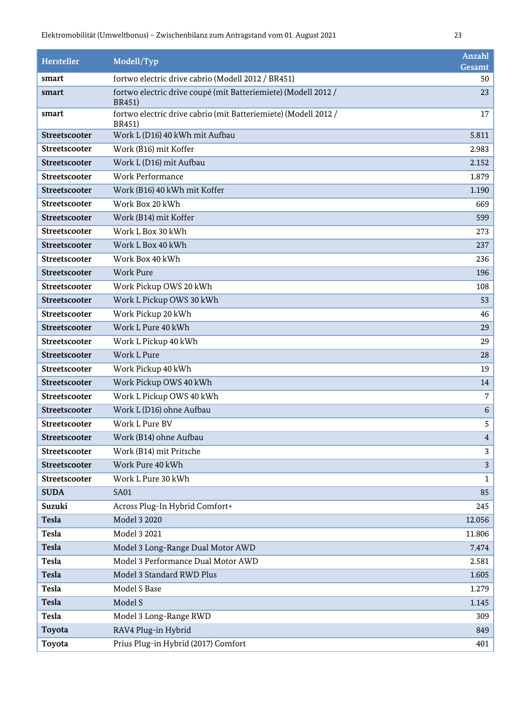| Hersteller    | Modell/Typ                                                                        | Anzahl<br>Gesamt |
|---------------|-----------------------------------------------------------------------------------|------------------|
| smart         | fortwo electric drive cabrio (Modell 2012 / BR451)                                | 50               |
| smart         | fortwo electric drive coupé (mit Batteriemiete) (Modell 2012 /<br><b>BR451</b> )  | 23               |
| smart         | fortwo electric drive cabrio (mit Batteriemiete) (Modell 2012 /<br><b>BR451</b> ) | 17               |
| Streetscooter | Work L (D16) 40 kWh mit Aufbau                                                    | 5.811            |
| Streetscooter | Work (B16) mit Koffer                                                             | 2.983            |
| Streetscooter | Work L (D16) mit Aufbau                                                           | 2.152            |
| Streetscooter | <b>Work Performance</b>                                                           | 1.879            |
| Streetscooter | Work (B16) 40 kWh mit Koffer                                                      | 1.190            |
| Streetscooter | Work Box 20 kWh                                                                   | 669              |
| Streetscooter | Work (B14) mit Koffer                                                             | 599              |
| Streetscooter | Work L Box 30 kWh                                                                 | 273              |
| Streetscooter | Work L Box 40 kWh                                                                 | 237              |
| Streetscooter | Work Box 40 kWh                                                                   | 236              |
| Streetscooter | <b>Work Pure</b>                                                                  | 196              |
| Streetscooter | Work Pickup OWS 20 kWh                                                            | 108              |
| Streetscooter | Work L Pickup OWS 30 kWh                                                          | 53               |
| Streetscooter | Work Pickup 20 kWh                                                                | 46               |
| Streetscooter | Work L Pure 40 kWh                                                                | 29               |
| Streetscooter | Work L Pickup 40 kWh                                                              | 29               |
| Streetscooter | Work L Pure                                                                       | $\sqrt{28}$      |
| Streetscooter | Work Pickup 40 kWh                                                                | 19               |
| Streetscooter | Work Pickup OWS 40 kWh                                                            | 14               |
| Streetscooter | Work L Pickup OWS 40 kWh                                                          | $\overline{7}$   |
| Streetscooter | Work L (D16) ohne Aufbau                                                          | 6                |
| Streetscooter | Work L Pure BV                                                                    | 5                |
| Streetscooter | Work (B14) ohne Aufbau                                                            | $\overline{4}$   |
| Streetscooter | Work (B14) mit Pritsche                                                           | 3                |
| Streetscooter | Work Pure 40 kWh                                                                  | 3                |
| Streetscooter | Work L Pure 30 kWh                                                                | 1                |
| <b>SUDA</b>   | <b>SA01</b>                                                                       | 85               |
| Suzuki        | Across Plug-In Hybrid Comfort+                                                    | 245              |
| <b>Tesla</b>  | Model 3 2020                                                                      | 12.056           |
| <b>Tesla</b>  | Model 3 2021                                                                      | 11.806           |
| <b>Tesla</b>  | Model 3 Long-Range Dual Motor AWD                                                 | 7.474            |
| <b>Tesla</b>  | Model 3 Performance Dual Motor AWD                                                | 2.581            |
| <b>Tesla</b>  | Model 3 Standard RWD Plus                                                         | 1.605            |
| <b>Tesla</b>  | Model S Base                                                                      | 1.279            |
| <b>Tesla</b>  | Model S                                                                           | 1.145            |
| <b>Tesla</b>  | Model 3 Long-Range RWD                                                            | 309              |
| Toyota        | RAV4 Plug-in Hybrid                                                               | 849              |
| Toyota        | Prius Plug-in Hybrid (2017) Comfort                                               | 401              |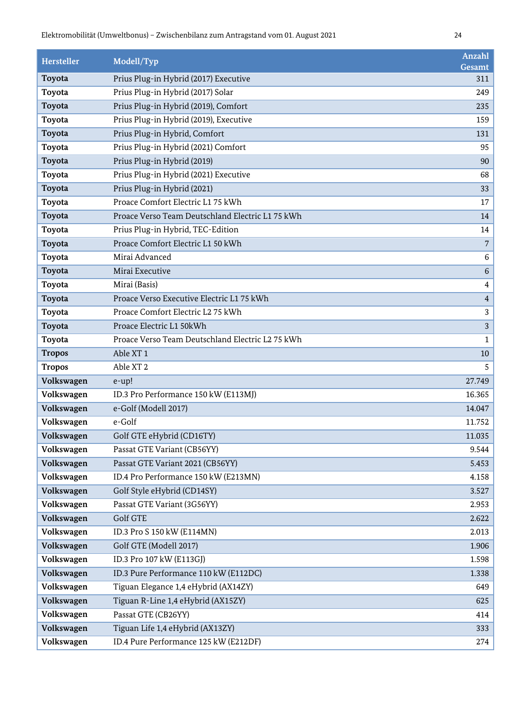| <b>Hersteller</b> | Modell/Typ                                       | Anzahl<br>Gesamt |
|-------------------|--------------------------------------------------|------------------|
| Toyota            | Prius Plug-in Hybrid (2017) Executive            | 311              |
| Toyota            | Prius Plug-in Hybrid (2017) Solar                | 249              |
| Toyota            | Prius Plug-in Hybrid (2019), Comfort             | 235              |
| Toyota            | Prius Plug-in Hybrid (2019), Executive           | 159              |
| Toyota            | Prius Plug-in Hybrid, Comfort                    | 131              |
| Toyota            | Prius Plug-in Hybrid (2021) Comfort              | 95               |
| Toyota            | Prius Plug-in Hybrid (2019)                      | 90               |
| Toyota            | Prius Plug-in Hybrid (2021) Executive            | 68               |
| Toyota            | Prius Plug-in Hybrid (2021)                      | 33               |
| Toyota            | Proace Comfort Electric L1 75 kWh                | 17               |
| Toyota            | Proace Verso Team Deutschland Electric L1 75 kWh | 14               |
| Toyota            | Prius Plug-in Hybrid, TEC-Edition                | 14               |
| Toyota            | Proace Comfort Electric L1 50 kWh                | 7                |
| Toyota            | Mirai Advanced                                   | 6                |
| Toyota            | Mirai Executive                                  | 6                |
| Toyota            | Mirai (Basis)                                    | 4                |
| Toyota            | Proace Verso Executive Electric L1 75 kWh        | 4                |
| Toyota            | Proace Comfort Electric L2 75 kWh                | 3                |
| Toyota            | Proace Electric L1 50kWh                         | 3                |
| Toyota            | Proace Verso Team Deutschland Electric L2 75 kWh | 1                |
| <b>Tropos</b>     | Able XT <sub>1</sub>                             | 10               |
| <b>Tropos</b>     | Able XT <sub>2</sub>                             | 5                |
| Volkswagen        | e-up!                                            | 27.749           |
| Volkswagen        | ID.3 Pro Performance 150 kW (E113MJ)             | 16.365           |
| Volkswagen        | e-Golf (Modell 2017)                             | 14.047           |
| Volkswagen        | e-Golf                                           | 11.752           |
| Volkswagen        | Golf GTE eHybrid (CD16TY)                        | 11.035           |
| Volkswagen        | Passat GTE Variant (CB56YY)                      | 9.544            |
| Volkswagen        | Passat GTE Variant 2021 (CB56YY)                 | 5.453            |
| Volkswagen        | ID.4 Pro Performance 150 kW (E213MN)             | 4.158            |
| Volkswagen        | Golf Style eHybrid (CD14SY)                      | 3.527            |
| Volkswagen        | Passat GTE Variant (3G56YY)                      | 2.953            |
| Volkswagen        | <b>Golf GTE</b>                                  | 2.622            |
| Volkswagen        | ID.3 Pro S 150 kW (E114MN)                       | 2.013            |
| Volkswagen        | Golf GTE (Modell 2017)                           | 1.906            |
| Volkswagen        | ID.3 Pro 107 kW (E113GJ)                         | 1.598            |
| Volkswagen        | ID.3 Pure Performance 110 kW (E112DC)            | 1.338            |
| Volkswagen        | Tiguan Elegance 1,4 eHybrid (AX14ZY)             | 649              |
| Volkswagen        | Tiguan R-Line 1,4 eHybrid (AX15ZY)               | 625              |
| Volkswagen        | Passat GTE (CB26YY)                              | 414              |
| Volkswagen        | Tiguan Life 1,4 eHybrid (AX13ZY)                 | 333              |
| Volkswagen        | ID.4 Pure Performance 125 kW (E212DF)            | 274              |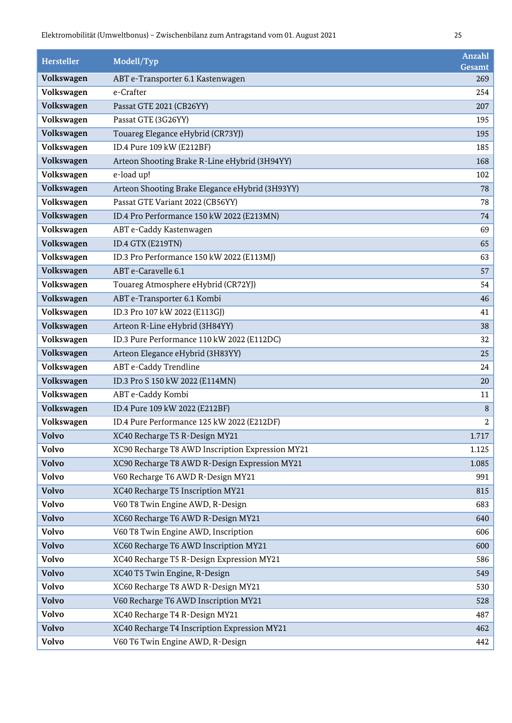| <b>Hersteller</b> | Modell/Typ                                       | Anzahl<br>Gesamt |
|-------------------|--------------------------------------------------|------------------|
| Volkswagen        | ABT e-Transporter 6.1 Kastenwagen                | 269              |
| Volkswagen        | e-Crafter                                        | 254              |
| Volkswagen        | Passat GTE 2021 (CB26YY)                         | 207              |
| Volkswagen        | Passat GTE (3G26YY)                              | 195              |
| Volkswagen        | Touareg Elegance eHybrid (CR73YJ)                | 195              |
| Volkswagen        | ID.4 Pure 109 kW (E212BF)                        | 185              |
| Volkswagen        | Arteon Shooting Brake R-Line eHybrid (3H94YY)    | 168              |
| Volkswagen        | e-load up!                                       | 102              |
| Volkswagen        | Arteon Shooting Brake Elegance eHybrid (3H93YY)  | 78               |
| Volkswagen        | Passat GTE Variant 2022 (CB56YY)                 | 78               |
| Volkswagen        | ID.4 Pro Performance 150 kW 2022 (E213MN)        | 74               |
| Volkswagen        | ABT e-Caddy Kastenwagen                          | 69               |
| Volkswagen        | ID.4 GTX (E219TN)                                | 65               |
| Volkswagen        | ID.3 Pro Performance 150 kW 2022 (E113MJ)        | 63               |
| Volkswagen        | ABT e-Caravelle 6.1                              | 57               |
| Volkswagen        | Touareg Atmosphere eHybrid (CR72YJ)              | 54               |
| Volkswagen        | ABT e-Transporter 6.1 Kombi                      | 46               |
| Volkswagen        | ID.3 Pro 107 kW 2022 (E113GJ)                    | 41               |
| Volkswagen        | Arteon R-Line eHybrid (3H84YY)                   | 38               |
| Volkswagen        | ID.3 Pure Performance 110 kW 2022 (E112DC)       | 32               |
| Volkswagen        | Arteon Elegance eHybrid (3H83YY)                 | 25               |
| Volkswagen        | ABT e-Caddy Trendline                            | 24               |
| Volkswagen        | ID.3 Pro S 150 kW 2022 (E114MN)                  | 20               |
| Volkswagen        | ABT e-Caddy Kombi                                | 11               |
| Volkswagen        | ID.4 Pure 109 kW 2022 (E212BF)                   | 8                |
| Volkswagen        | ID.4 Pure Performance 125 kW 2022 (E212DF)       | $\,2$            |
| Volvo             | XC40 Recharge T5 R-Design MY21                   | 1.717            |
| Volvo             | XC90 Recharge T8 AWD Inscription Expression MY21 | 1.125            |
| <b>Volvo</b>      | XC90 Recharge T8 AWD R-Design Expression MY21    | 1.085            |
| <b>Volvo</b>      | V60 Recharge T6 AWD R-Design MY21                | 991              |
| <b>Volvo</b>      | XC40 Recharge T5 Inscription MY21                | 815              |
| <b>Volvo</b>      | V60 T8 Twin Engine AWD, R-Design                 | 683              |
| <b>Volvo</b>      | XC60 Recharge T6 AWD R-Design MY21               | 640              |
| Volvo             | V60 T8 Twin Engine AWD, Inscription              | 606              |
| <b>Volvo</b>      | XC60 Recharge T6 AWD Inscription MY21            | 600              |
| <b>Volvo</b>      | XC40 Recharge T5 R-Design Expression MY21        | 586              |
| <b>Volvo</b>      | XC40 T5 Twin Engine, R-Design                    | 549              |
| <b>Volvo</b>      | XC60 Recharge T8 AWD R-Design MY21               | 530              |
| <b>Volvo</b>      | V60 Recharge T6 AWD Inscription MY21             | 528              |
| Volvo             | XC40 Recharge T4 R-Design MY21                   | 487              |
| <b>Volvo</b>      | XC40 Recharge T4 Inscription Expression MY21     | 462              |
| <b>Volvo</b>      | V60 T6 Twin Engine AWD, R-Design                 | 442              |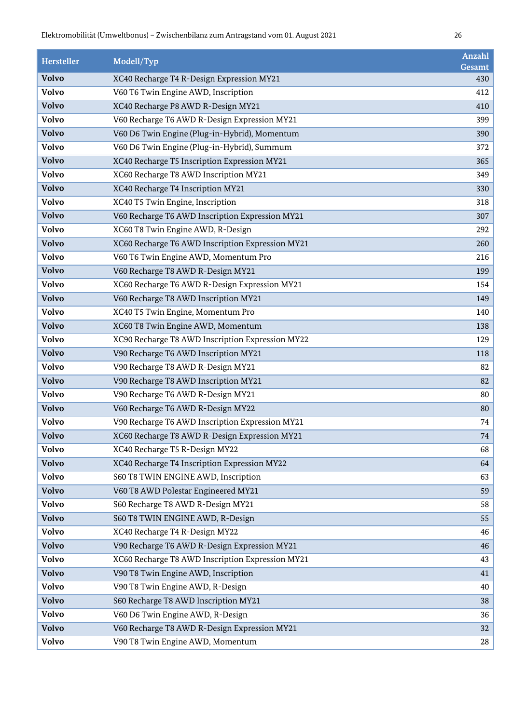| <b>Hersteller</b> | Modell/Typ                                       | <b>Anzahl</b><br>Gesamt |
|-------------------|--------------------------------------------------|-------------------------|
| <b>Volvo</b>      | XC40 Recharge T4 R-Design Expression MY21        | 430                     |
| <b>Volvo</b>      | V60 T6 Twin Engine AWD, Inscription              | 412                     |
| <b>Volvo</b>      | XC40 Recharge P8 AWD R-Design MY21               | 410                     |
| <b>Volvo</b>      | V60 Recharge T6 AWD R-Design Expression MY21     | 399                     |
| <b>Volvo</b>      | V60 D6 Twin Engine (Plug-in-Hybrid), Momentum    | 390                     |
| <b>Volvo</b>      | V60 D6 Twin Engine (Plug-in-Hybrid), Summum      | 372                     |
| <b>Volvo</b>      | XC40 Recharge T5 Inscription Expression MY21     | 365                     |
| <b>Volvo</b>      | XC60 Recharge T8 AWD Inscription MY21            | 349                     |
| <b>Volvo</b>      | XC40 Recharge T4 Inscription MY21                | 330                     |
| Volvo             | XC40 T5 Twin Engine, Inscription                 | 318                     |
| <b>Volvo</b>      | V60 Recharge T6 AWD Inscription Expression MY21  | 307                     |
| <b>Volvo</b>      | XC60 T8 Twin Engine AWD, R-Design                | 292                     |
| <b>Volvo</b>      | XC60 Recharge T6 AWD Inscription Expression MY21 | 260                     |
| <b>Volvo</b>      | V60 T6 Twin Engine AWD, Momentum Pro             | 216                     |
| <b>Volvo</b>      | V60 Recharge T8 AWD R-Design MY21                | 199                     |
| Volvo             | XC60 Recharge T6 AWD R-Design Expression MY21    | 154                     |
| <b>Volvo</b>      | V60 Recharge T8 AWD Inscription MY21             | 149                     |
| <b>Volvo</b>      | XC40 T5 Twin Engine, Momentum Pro                | 140                     |
| <b>Volvo</b>      | XC60 T8 Twin Engine AWD, Momentum                | 138                     |
| <b>Volvo</b>      | XC90 Recharge T8 AWD Inscription Expression MY22 | 129                     |
| <b>Volvo</b>      | V90 Recharge T6 AWD Inscription MY21             | 118                     |
| Volvo             | V90 Recharge T8 AWD R-Design MY21                | 82                      |
| <b>Volvo</b>      | V90 Recharge T8 AWD Inscription MY21             | 82                      |
| <b>Volvo</b>      | V90 Recharge T6 AWD R-Design MY21                | 80                      |
| <b>Volvo</b>      | V60 Recharge T6 AWD R-Design MY22                | 80                      |
| <b>Volvo</b>      | V90 Recharge T6 AWD Inscription Expression MY21  | 74                      |
| <b>Volvo</b>      | XC60 Recharge T8 AWD R-Design Expression MY21    | 74                      |
| Volvo             | XC40 Recharge T5 R-Design MY22                   | 68                      |
| <b>Volvo</b>      | XC40 Recharge T4 Inscription Expression MY22     | 64                      |
| <b>Volvo</b>      | S60 T8 TWIN ENGINE AWD, Inscription              | 63                      |
| <b>Volvo</b>      | V60 T8 AWD Polestar Engineered MY21              | 59                      |
| <b>Volvo</b>      | S60 Recharge T8 AWD R-Design MY21                | 58                      |
| <b>Volvo</b>      | S60 T8 TWIN ENGINE AWD, R-Design                 | 55                      |
| Volvo             | XC40 Recharge T4 R-Design MY22                   | 46                      |
| <b>Volvo</b>      | V90 Recharge T6 AWD R-Design Expression MY21     | 46                      |
| <b>Volvo</b>      | XC60 Recharge T8 AWD Inscription Expression MY21 | 43                      |
| <b>Volvo</b>      | V90 T8 Twin Engine AWD, Inscription              | 41                      |
| <b>Volvo</b>      | V90 T8 Twin Engine AWD, R-Design                 | 40                      |
| <b>Volvo</b>      | S60 Recharge T8 AWD Inscription MY21             | 38                      |
| Volvo             | V60 D6 Twin Engine AWD, R-Design                 | 36                      |
| <b>Volvo</b>      | V60 Recharge T8 AWD R-Design Expression MY21     | 32                      |
| <b>Volvo</b>      | V90 T8 Twin Engine AWD, Momentum                 | 28                      |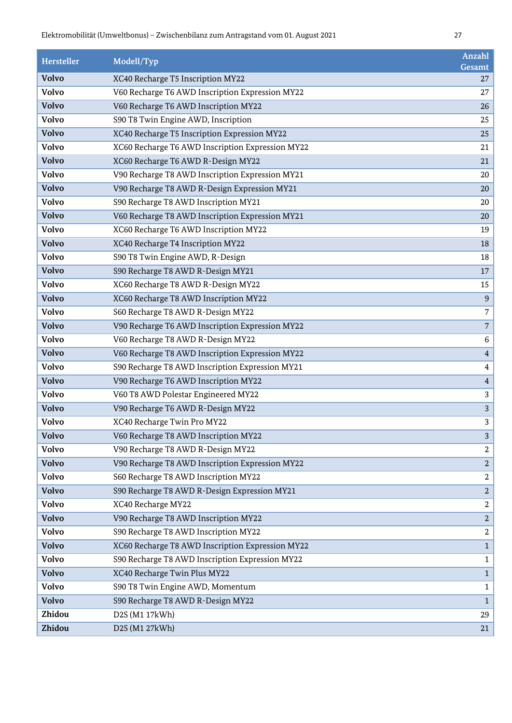| Hersteller   | Modell/Typ                                       | <b>Anzahl</b><br>Gesamt |
|--------------|--------------------------------------------------|-------------------------|
| <b>Volvo</b> | XC40 Recharge T5 Inscription MY22                | 27                      |
| <b>Volvo</b> | V60 Recharge T6 AWD Inscription Expression MY22  | 27                      |
| <b>Volvo</b> | V60 Recharge T6 AWD Inscription MY22             | 26                      |
| <b>Volvo</b> | S90 T8 Twin Engine AWD, Inscription              | 25                      |
| <b>Volvo</b> | XC40 Recharge T5 Inscription Expression MY22     | 25                      |
| Volvo        | XC60 Recharge T6 AWD Inscription Expression MY22 | 21                      |
| <b>Volvo</b> | XC60 Recharge T6 AWD R-Design MY22               | 21                      |
| <b>Volvo</b> | V90 Recharge T8 AWD Inscription Expression MY21  | 20                      |
| <b>Volvo</b> | V90 Recharge T8 AWD R-Design Expression MY21     | 20                      |
| <b>Volvo</b> | S90 Recharge T8 AWD Inscription MY21             | 20                      |
| <b>Volvo</b> | V60 Recharge T8 AWD Inscription Expression MY21  | 20                      |
| Volvo        | XC60 Recharge T6 AWD Inscription MY22            | 19                      |
| <b>Volvo</b> | XC40 Recharge T4 Inscription MY22                | 18                      |
| <b>Volvo</b> | S90 T8 Twin Engine AWD, R-Design                 | 18                      |
| <b>Volvo</b> | S90 Recharge T8 AWD R-Design MY21                | 17                      |
| <b>Volvo</b> | XC60 Recharge T8 AWD R-Design MY22               | 15                      |
| <b>Volvo</b> | XC60 Recharge T8 AWD Inscription MY22            | 9                       |
| Volvo        | S60 Recharge T8 AWD R-Design MY22                | 7                       |
| <b>Volvo</b> | V90 Recharge T6 AWD Inscription Expression MY22  | $\sqrt{ }$              |
| <b>Volvo</b> | V60 Recharge T8 AWD R-Design MY22                | 6                       |
| <b>Volvo</b> | V60 Recharge T8 AWD Inscription Expression MY22  | $\overline{4}$          |
| <b>Volvo</b> | S90 Recharge T8 AWD Inscription Expression MY21  | $\overline{4}$          |
| <b>Volvo</b> | V90 Recharge T6 AWD Inscription MY22             | $\overline{4}$          |
| Volvo        | V60 T8 AWD Polestar Engineered MY22              | $\sqrt{3}$              |
| <b>Volvo</b> | V90 Recharge T6 AWD R-Design MY22                | $\sqrt{3}$              |
| <b>Volvo</b> | XC40 Recharge Twin Pro MY22                      | 3                       |
| Volvo        | V60 Recharge T8 AWD Inscription MY22             | 3                       |
| Volvo        | V90 Recharge T8 AWD R-Design MY22                | $\boldsymbol{2}$        |
| <b>Volvo</b> | V90 Recharge T8 AWD Inscription Expression MY22  | $\overline{a}$          |
| Volvo        | S60 Recharge T8 AWD Inscription MY22             | $\boldsymbol{2}$        |
| <b>Volvo</b> | S90 Recharge T8 AWD R-Design Expression MY21     | $\overline{2}$          |
| <b>Volvo</b> | XC40 Recharge MY22                               | $\overline{2}$          |
| <b>Volvo</b> | V90 Recharge T8 AWD Inscription MY22             | $\boldsymbol{2}$        |
| <b>Volvo</b> | S90 Recharge T8 AWD Inscription MY22             | $\sqrt{2}$              |
| <b>Volvo</b> | XC60 Recharge T8 AWD Inscription Expression MY22 | $\mathbf{1}$            |
| Volvo        | S90 Recharge T8 AWD Inscription Expression MY22  | $\mathbf{1}$            |
| <b>Volvo</b> | XC40 Recharge Twin Plus MY22                     | $1\,$                   |
| <b>Volvo</b> | S90 T8 Twin Engine AWD, Momentum                 | $\mathbf{1}$            |
| <b>Volvo</b> | S90 Recharge T8 AWD R-Design MY22                | $\mathbf{1}$            |
| Zhidou       | D2S (M1 17kWh)                                   | 29                      |
| Zhidou       | D2S (M1 27kWh)                                   | 21                      |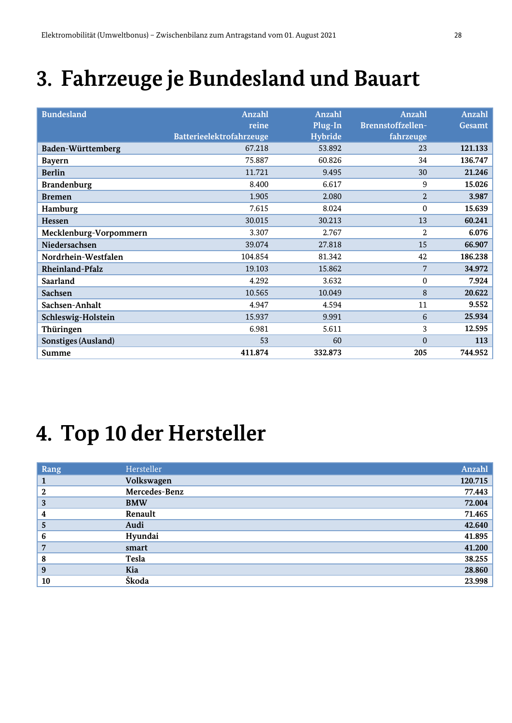## **3. Fahrzeuge je Bundesland und Bauart**

| <b>Bundesland</b>          | <b>Anzahl</b>            | <b>Anzahl</b>  | Anzahl            | <b>Anzahl</b> |
|----------------------------|--------------------------|----------------|-------------------|---------------|
|                            | reine                    | Plug-In        | Brennstoffzellen- | Gesamt        |
|                            | Batterieelektrofahrzeuge | <b>Hybride</b> | fahrzeuge         |               |
| Baden-Württemberg          | 67.218                   | 53.892         | 23                | 121.133       |
| <b>Bayern</b>              | 75.887                   | 60.826         | 34                | 136.747       |
| <b>Berlin</b>              | 11.721                   | 9.495          | 30                | 21.246        |
| <b>Brandenburg</b>         | 8.400                    | 6.617          | 9                 | 15.026        |
| <b>Bremen</b>              | 1.905                    | 2.080          | 2                 | 3.987         |
| Hamburg                    | 7.615                    | 8.024          | $\mathbf{0}$      | 15.639        |
| Hessen                     | 30.015                   | 30.213         | 13                | 60.241        |
| Mecklenburg-Vorpommern     | 3.307                    | 2.767          | 2                 | 6.076         |
| Niedersachsen              | 39.074                   | 27.818         | 15                | 66.907        |
| Nordrhein-Westfalen        | 104.854                  | 81.342         | 42                | 186.238       |
| <b>Rheinland-Pfalz</b>     | 19.103                   | 15.862         | 7                 | 34.972        |
| <b>Saarland</b>            | 4.292                    | 3.632          | $\Omega$          | 7.924         |
| <b>Sachsen</b>             | 10.565                   | 10.049         | 8                 | 20.622        |
| Sachsen-Anhalt             | 4.947                    | 4.594          | 11                | 9.552         |
| Schleswig-Holstein         | 15.937                   | 9.991          | 6                 | 25.934        |
| Thüringen                  | 6.981                    | 5.611          | 3                 | 12.595        |
| <b>Sonstiges (Ausland)</b> | 53                       | 60             | $\mathbf{0}$      | 113           |
| Summe                      | 411.874                  | 332.873        | 205               | 744.952       |

#### **4. Top 10 der Hersteller**

| Rang        | Hersteller    | Anzahl  |
|-------------|---------------|---------|
| 1           | Volkswagen    | 120.715 |
| $\mathbf 2$ | Mercedes-Benz | 77.443  |
| 3           | <b>BMW</b>    | 72.004  |
| 4           | Renault       | 71.465  |
| 5           | Audi          | 42.640  |
| 6           | Hyundai       | 41.895  |
| 7           | smart         | 41.200  |
| 8           | Tesla         | 38.255  |
| 9           | Kia           | 28.860  |
| 10          | Škoda         | 23.998  |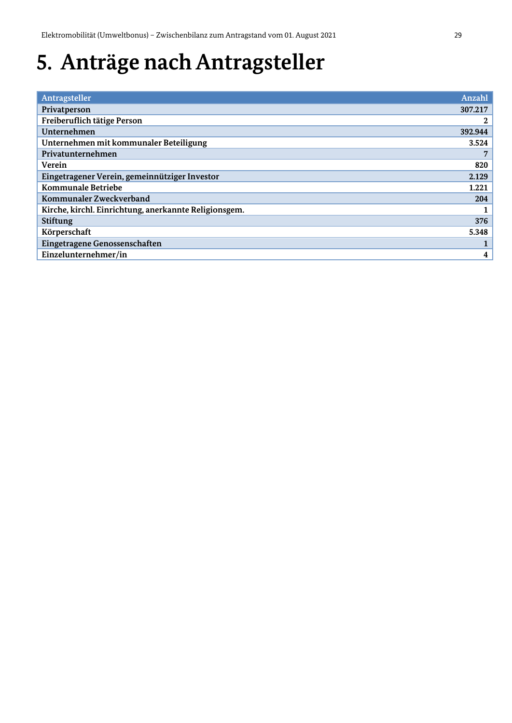## **5. Anträge nach Antragsteller**

| Antragsteller                                         | Anzahl       |
|-------------------------------------------------------|--------------|
| Privatperson                                          | 307.217      |
| Freiberuflich tätige Person                           | $\mathbf{2}$ |
| Unternehmen                                           | 392.944      |
| Unternehmen mit kommunaler Beteiligung                | 3.524        |
| Privatunternehmen                                     |              |
| Verein                                                | 820          |
| Eingetragener Verein, gemeinnütziger Investor         | 2.129        |
| Kommunale Betriebe                                    | 1.221        |
| Kommunaler Zweckverband                               | 204          |
| Kirche, kirchl. Einrichtung, anerkannte Religionsgem. |              |
| <b>Stiftung</b>                                       | 376          |
| Körperschaft                                          | 5.348        |
| Eingetragene Genossenschaften                         |              |
| Einzelunternehmer/in                                  | 4            |